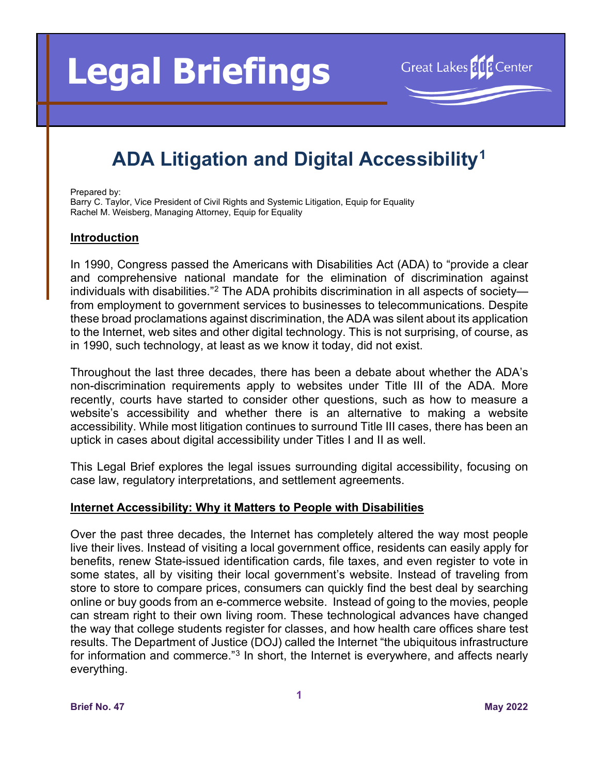Great Lakes **ELE** Center

### **ADA Litigation and Digital Accessibility[1](#page-24-0)**

Prepared by:

Barry C. Taylor, Vice President of Civil Rights and Systemic Litigation, Equip for Equality Rachel M. Weisberg, Managing Attorney, Equip for Equality

### **Introduction**

In 1990, Congress passed the Americans with Disabilities Act (ADA) to "provide a clear and comprehensive national mandate for the elimination of discrimination against individuals with disabilities."<sup>[2](#page-24-1)</sup> The ADA prohibits discrimination in all aspects of societyfrom employment to government services to businesses to telecommunications. Despite these broad proclamations against discrimination, the ADA was silent about its application to the Internet, web sites and other digital technology. This is not surprising, of course, as in 1990, such technology, at least as we know it today, did not exist.

Throughout the last three decades, there has been a debate about whether the ADA's non-discrimination requirements apply to websites under Title III of the ADA. More recently, courts have started to consider other questions, such as how to measure a website's accessibility and whether there is an alternative to making a website accessibility. While most litigation continues to surround Title III cases, there has been an uptick in cases about digital accessibility under Titles I and II as well.

This Legal Brief explores the legal issues surrounding digital accessibility, focusing on case law, regulatory interpretations, and settlement agreements.

### **Internet Accessibility: Why it Matters to People with Disabilities**

Over the past three decades, the Internet has completely altered the way most people live their lives. Instead of visiting a local government office, residents can easily apply for benefits, renew State-issued identification cards, file taxes, and even register to vote in some states, all by visiting their local government's website. Instead of traveling from store to store to compare prices, consumers can quickly find the best deal by searching online or buy goods from an e-commerce website. Instead of going to the movies, people can stream right to their own living room. These technological advances have changed the way that college students register for classes, and how health care offices share test results. The Department of Justice (DOJ) called the Internet "the ubiquitous infrastructure for information and commerce."[3](#page-24-2) In short, the Internet is everywhere, and affects nearly everything.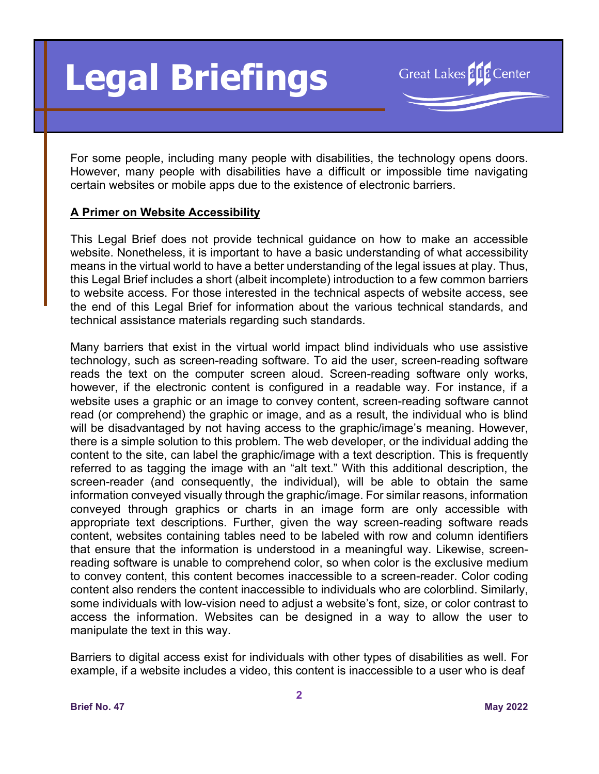For some people, including many people with disabilities, the technology opens doors. However, many people with disabilities have a difficult or impossible time navigating certain websites or mobile apps due to the existence of electronic barriers.

#### **A Primer on Website Accessibility**

This Legal Brief does not provide technical guidance on how to make an accessible website. Nonetheless, it is important to have a basic understanding of what accessibility means in the virtual world to have a better understanding of the legal issues at play. Thus, this Legal Brief includes a short (albeit incomplete) introduction to a few common barriers to website access. For those interested in the technical aspects of website access, see the end of this Legal Brief for information about the various technical standards, and technical assistance materials regarding such standards.

Many barriers that exist in the virtual world impact blind individuals who use assistive technology, such as screen-reading software. To aid the user, screen-reading software reads the text on the computer screen aloud. Screen-reading software only works, however, if the electronic content is configured in a readable way. For instance, if a website uses a graphic or an image to convey content, screen-reading software cannot read (or comprehend) the graphic or image, and as a result, the individual who is blind will be disadvantaged by not having access to the graphic/image's meaning. However, there is a simple solution to this problem. The web developer, or the individual adding the content to the site, can label the graphic/image with a text description. This is frequently referred to as tagging the image with an "alt text." With this additional description, the screen-reader (and consequently, the individual), will be able to obtain the same information conveyed visually through the graphic/image. For similar reasons, information conveyed through graphics or charts in an image form are only accessible with appropriate text descriptions. Further, given the way screen-reading software reads content, websites containing tables need to be labeled with row and column identifiers that ensure that the information is understood in a meaningful way. Likewise, screenreading software is unable to comprehend color, so when color is the exclusive medium to convey content, this content becomes inaccessible to a screen-reader. Color coding content also renders the content inaccessible to individuals who are colorblind. Similarly, some individuals with low-vision need to adjust a website's font, size, or color contrast to access the information. Websites can be designed in a way to allow the user to manipulate the text in this way.

Barriers to digital access exist for individuals with other types of disabilities as well. For example, if a website includes a video, this content is inaccessible to a user who is deaf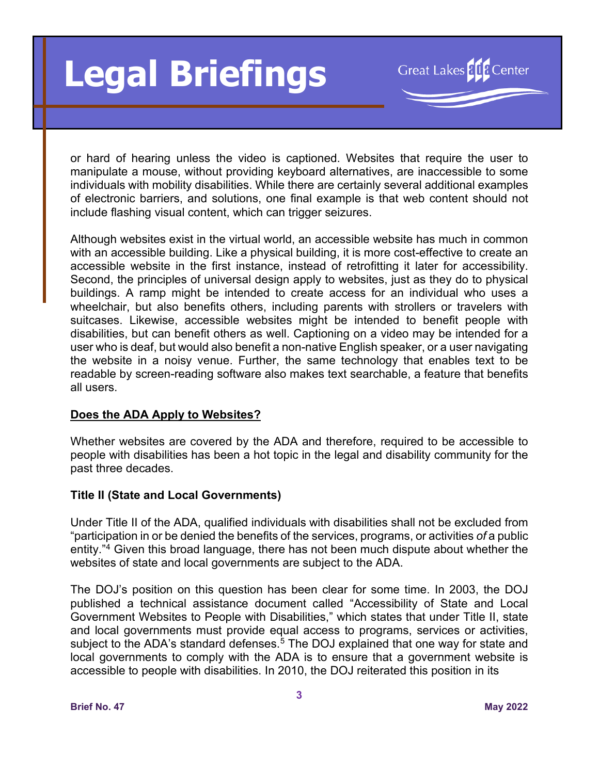or hard of hearing unless the video is captioned. Websites that require the user to manipulate a mouse, without providing keyboard alternatives, are inaccessible to some individuals with mobility disabilities. While there are certainly several additional examples of electronic barriers, and solutions, one final example is that web content should not include flashing visual content, which can trigger seizures.

Although websites exist in the virtual world, an accessible website has much in common with an accessible building. Like a physical building, it is more cost-effective to create an accessible website in the first instance, instead of retrofitting it later for accessibility. Second, the principles of universal design apply to websites, just as they do to physical buildings. A ramp might be intended to create access for an individual who uses a wheelchair, but also benefits others, including parents with strollers or travelers with suitcases. Likewise, accessible websites might be intended to benefit people with disabilities, but can benefit others as well. Captioning on a video may be intended for a user who is deaf, but would also benefit a non-native English speaker, or a user navigating the website in a noisy venue. Further, the same technology that enables text to be readable by screen-reading software also makes text searchable, a feature that benefits all users.

### **Does the ADA Apply to Websites?**

Whether websites are covered by the ADA and therefore, required to be accessible to people with disabilities has been a hot topic in the legal and disability community for the past three decades.

### **Title II (State and Local Governments)**

Under Title II of the ADA, qualified individuals with disabilities shall not be excluded from "participation in or be denied the benefits of the services, programs, or activities *of* a public entity.["4](#page-24-3) Given this broad language, there has not been much dispute about whether the websites of state and local governments are subject to the ADA.

The DOJ's position on this question has been clear for some time. In 2003, the DOJ published a technical assistance document called "Accessibility of State and Local Government Websites to People with Disabilities," which states that under Title II, state and local governments must provide equal access to programs, services or activities, subject to the ADA's standard defenses.<sup>[5](#page-24-4)</sup> The DOJ explained that one way for state and local governments to comply with the ADA is to ensure that a government website is accessible to people with disabilities. In 2010, the DOJ reiterated this position in its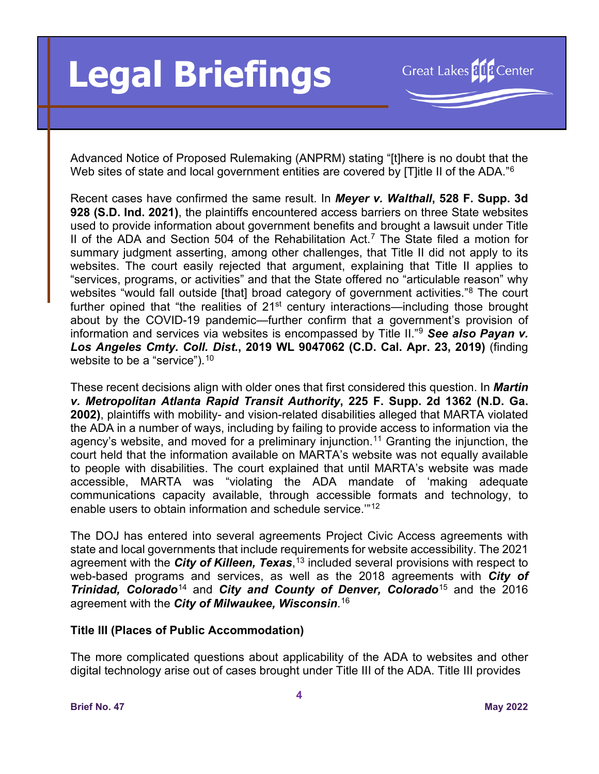Advanced Notice of Proposed Rulemaking (ANPRM) stating "[t]here is no doubt that the Web sites of state and local government entities are covered by [T] itle II of the ADA."<sup>[6](#page-24-5)</sup>

Recent cases have confirmed the same result. In *Meyer v. Walthall***, 528 F. Supp. 3d 928 (S.D. Ind. 2021)**, the plaintiffs encountered access barriers on three State websites used to provide information about government benefits and brought a lawsuit under Title II of the ADA and Section 504 of the Rehabilitation Act.[7](#page-24-6) The State filed a motion for summary judgment asserting, among other challenges, that Title II did not apply to its websites. The court easily rejected that argument, explaining that Title II applies to "services, programs, or activities" and that the State offered no "articulable reason" why websites "would fall outside [that] broad category of government activities."<sup>[8](#page-24-7)</sup> The court further opined that "the realities of  $21<sup>st</sup>$  century interactions—including those brought about by the COVID-19 pandemic—further confirm that a government's provision of information and services via websites is encompassed by Title II."[9](#page-24-8) *See also Payan v. Los Angeles Cmty. Coll. Dist.***, 2019 WL 9047062 (C.D. Cal. Apr. 23, 2019)** (finding website to be a "service"). $^{\rm 10}$  $^{\rm 10}$  $^{\rm 10}$ 

These recent decisions align with older ones that first considered this question. In *Martin v. Metropolitan Atlanta Rapid Transit Authority***, 225 F. Supp. 2d 1362 (N.D. Ga. 2002)**, plaintiffs with mobility- and vision-related disabilities alleged that MARTA violated the ADA in a number of ways, including by failing to provide access to information via the agency's website, and moved for a preliminary injunction.<sup>[11](#page-24-10)</sup> Granting the injunction, the court held that the information available on MARTA's website was not equally available to people with disabilities. The court explained that until MARTA's website was made accessible, MARTA was "violating the ADA mandate of 'making adequate communications capacity available, through accessible formats and technology, to enable users to obtain information and schedule service.'"[12](#page-24-11)

The DOJ has entered into several agreements Project Civic Access agreements with state and local governments that include requirements for website accessibility. The 2021 agreement with the *City of Killeen, Texas*, [13](#page-24-12) included several provisions with respect to web-based programs and services, as well as the 2018 agreements with *City of*  **Trinidad, Colorado<sup>[14](#page-24-13)</sup> and** *City and County of Denver***, Colorado<sup>[15](#page-24-14)</sup> and the 2016** agreement with the *City of Milwaukee, Wisconsin*. [16](#page-24-15)

### **Title III (Places of Public Accommodation)**

The more complicated questions about applicability of the ADA to websites and other digital technology arise out of cases brought under Title III of the ADA. Title III provides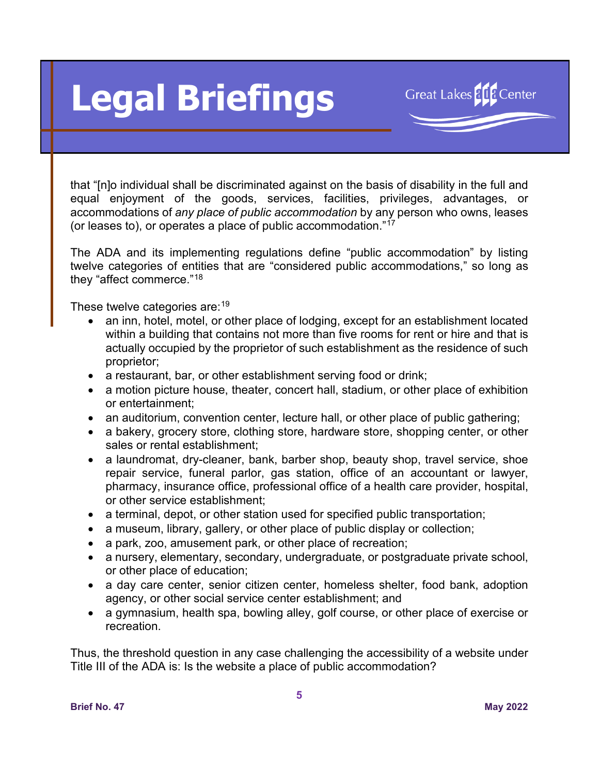that "[n]o individual shall be discriminated against on the basis of disability in the full and equal enjoyment of the goods, services, facilities, privileges, advantages, or accommodations of *any place of public accommodation* by any person who owns, leases (or leases to), or operates a place of public accommodation."[17](#page-24-16)

The ADA and its implementing regulations define "public accommodation" by listing twelve categories of entities that are "considered public accommodations," so long as they "affect commerce."[18](#page-24-17)

These twelve categories are:<sup>[19](#page-24-18)</sup>

- an inn, hotel, motel, or other place of lodging, except for an establishment located within a building that contains not more than five rooms for rent or hire and that is actually occupied by the proprietor of such establishment as the residence of such proprietor;
- a restaurant, bar, or other establishment serving food or drink;
- a motion picture house, theater, concert hall, stadium, or other place of exhibition or entertainment;
- an auditorium, convention center, lecture hall, or other place of public gathering;
- a bakery, grocery store, clothing store, hardware store, shopping center, or other sales or rental establishment;
- a laundromat, dry-cleaner, bank, barber shop, beauty shop, travel service, shoe repair service, funeral parlor, gas station, office of an accountant or lawyer, pharmacy, insurance office, professional office of a health care provider, hospital, or other service establishment;
- a terminal, depot, or other station used for specified public transportation;
- a museum, library, gallery, or other place of public display or collection;
- a park, zoo, amusement park, or other place of recreation;
- a nursery, elementary, secondary, undergraduate, or postgraduate private school, or other place of education;
- a day care center, senior citizen center, homeless shelter, food bank, adoption agency, or other social service center establishment; and
- a gymnasium, health spa, bowling alley, golf course, or other place of exercise or recreation.

Thus, the threshold question in any case challenging the accessibility of a website under Title III of the ADA is: Is the website a place of public accommodation?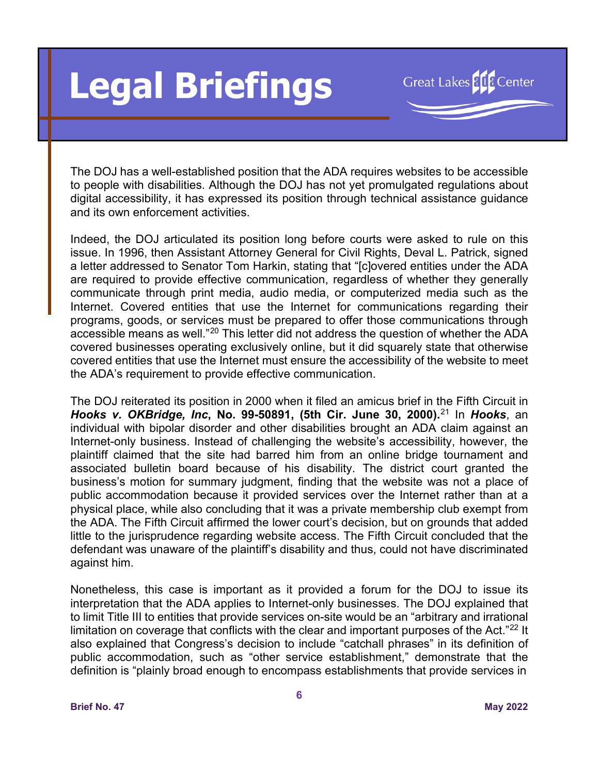The DOJ has a well-established position that the ADA requires websites to be accessible to people with disabilities. Although the DOJ has not yet promulgated regulations about digital accessibility, it has expressed its position through technical assistance guidance and its own enforcement activities.

Indeed, the DOJ articulated its position long before courts were asked to rule on this issue. In 1996, then Assistant Attorney General for Civil Rights, Deval L. Patrick, signed a letter addressed to Senator Tom Harkin, stating that "[c]overed entities under the ADA are required to provide effective communication, regardless of whether they generally communicate through print media, audio media, or computerized media such as the Internet. Covered entities that use the Internet for communications regarding their programs, goods, or services must be prepared to offer those communications through accessible means as well."[20](#page-24-19) This letter did not address the question of whether the ADA covered businesses operating exclusively online, but it did squarely state that otherwise covered entities that use the Internet must ensure the accessibility of the website to meet the ADA's requirement to provide effective communication.

The DOJ reiterated its position in 2000 when it filed an amicus brief in the Fifth Circuit in *Hooks v. OKBridge, Inc***, No. 99-50891, (5th Cir. June 30, 2000).**[21](#page-25-0) In *Hooks*, an individual with bipolar disorder and other disabilities brought an ADA claim against an Internet-only business. Instead of challenging the website's accessibility, however, the plaintiff claimed that the site had barred him from an online bridge tournament and associated bulletin board because of his disability. The district court granted the business's motion for summary judgment, finding that the website was not a place of public accommodation because it provided services over the Internet rather than at a physical place, while also concluding that it was a private membership club exempt from the ADA. The Fifth Circuit affirmed the lower court's decision, but on grounds that added little to the jurisprudence regarding website access. The Fifth Circuit concluded that the defendant was unaware of the plaintiff's disability and thus, could not have discriminated against him.

Nonetheless, this case is important as it provided a forum for the DOJ to issue its interpretation that the ADA applies to Internet-only businesses. The DOJ explained that to limit Title III to entities that provide services on-site would be an "arbitrary and irrational limitation on coverage that conflicts with the clear and important purposes of the Act."<sup>[22](#page-25-1)</sup> It also explained that Congress's decision to include "catchall phrases" in its definition of public accommodation, such as "other service establishment," demonstrate that the definition is "plainly broad enough to encompass establishments that provide services in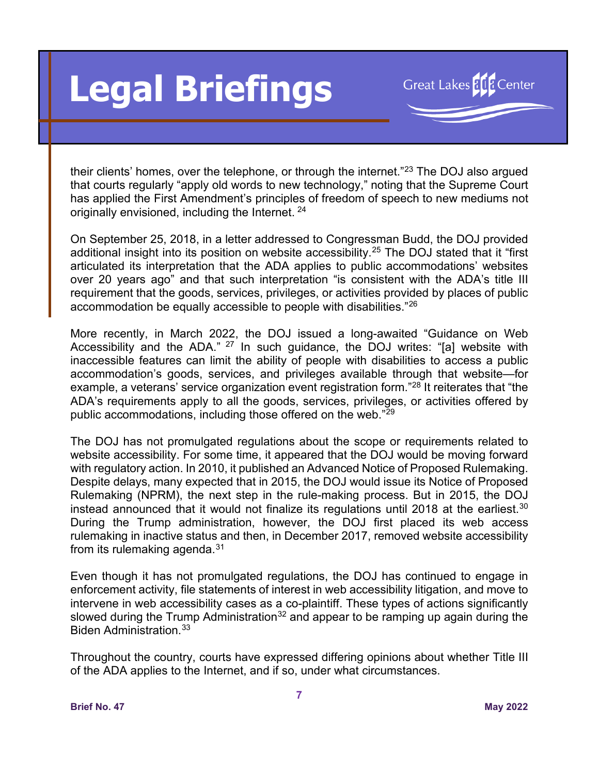their clients' homes, over the telephone, or through the internet."<sup>[23](#page-25-2)</sup> The DOJ also argued that courts regularly "apply old words to new technology," noting that the Supreme Court has applied the First Amendment's principles of freedom of speech to new mediums not originally envisioned, including the Internet. <sup>[24](#page-25-3)</sup>

On September 25, 2018, in a letter addressed to Congressman Budd, the DOJ provided additional insight into its position on website accessibility. [25](#page-25-4) The DOJ stated that it "first articulated its interpretation that the ADA applies to public accommodations' websites over 20 years ago" and that such interpretation "is consistent with the ADA's title III requirement that the goods, services, privileges, or activities provided by places of public accommodation be equally accessible to people with disabilities."[26](#page-25-5)

More recently, in March 2022, the DOJ issued a long-awaited "Guidance on Web Accessibility and the ADA."  $27$  In such guidance, the DOJ writes: "[a] website with inaccessible features can limit the ability of people with disabilities to access a public accommodation's goods, services, and privileges available through that website—for example, a veterans' service organization event registration form.["28](#page-25-7) It reiterates that "the ADA's requirements apply to all the goods, services, privileges, or activities offered by public accommodations, including those offered on the web."[29](#page-25-8)

The DOJ has not promulgated regulations about the scope or requirements related to website accessibility. For some time, it appeared that the DOJ would be moving forward with regulatory action. In 2010, it published an Advanced Notice of Proposed Rulemaking. Despite delays, many expected that in 2015, the DOJ would issue its Notice of Proposed Rulemaking (NPRM), the next step in the rule-making process. But in 2015, the DOJ instead announced that it would not finalize its regulations until 2018 at the earliest.<sup>[30](#page-25-9)</sup> During the Trump administration, however, the DOJ first placed its web access rulemaking in inactive status and then, in December 2017, removed website accessibility from its rulemaking agenda.<sup>[31](#page-25-10)</sup>

Even though it has not promulgated regulations, the DOJ has continued to engage in enforcement activity, file statements of interest in web accessibility litigation, and move to intervene in web accessibility cases as a co-plaintiff. These types of actions significantly slowed during the Trump Administration<sup>[32](#page-25-11)</sup> and appear to be ramping up again during the Biden Administration<sup>[33](#page-25-12)</sup>

Throughout the country, courts have expressed differing opinions about whether Title III of the ADA applies to the Internet, and if so, under what circumstances.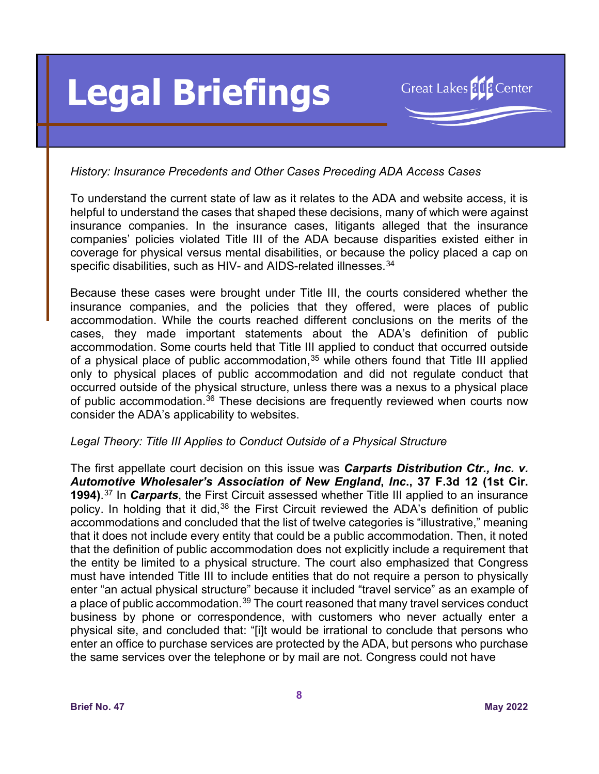*History: Insurance Precedents and Other Cases Preceding ADA Access Cases*

To understand the current state of law as it relates to the ADA and website access, it is helpful to understand the cases that shaped these decisions, many of which were against insurance companies. In the insurance cases, litigants alleged that the insurance companies' policies violated Title III of the ADA because disparities existed either in coverage for physical versus mental disabilities, or because the policy placed a cap on specific disabilities, such as HIV- and AIDS-related illnesses.<sup>[34](#page-25-13)</sup>

Because these cases were brought under Title III, the courts considered whether the insurance companies, and the policies that they offered, were places of public accommodation. While the courts reached different conclusions on the merits of the cases, they made important statements about the ADA's definition of public accommodation. Some courts held that Title III applied to conduct that occurred outside of a physical place of public accommodation,  $35$  while others found that Title III applied only to physical places of public accommodation and did not regulate conduct that occurred outside of the physical structure, unless there was a nexus to a physical place of public accommodation. $36$  These decisions are frequently reviewed when courts now consider the ADA's applicability to websites.

#### *Legal Theory: Title III Applies to Conduct Outside of a Physical Structure*

The first appellate court decision on this issue was *Carparts Distribution Ctr., Inc. v. Automotive Wholesaler's Association of New England***,** *Inc***., 37 F.3d 12 (1st Cir. 1994)**. [37](#page-25-16) In *Carparts*, the First Circuit assessed whether Title III applied to an insurance policy. In holding that it did,<sup>[38](#page-25-17)</sup> the First Circuit reviewed the ADA's definition of public accommodations and concluded that the list of twelve categories is "illustrative," meaning that it does not include every entity that could be a public accommodation. Then, it noted that the definition of public accommodation does not explicitly include a requirement that the entity be limited to a physical structure. The court also emphasized that Congress must have intended Title III to include entities that do not require a person to physically enter "an actual physical structure" because it included "travel service" as an example of a place of public accommodation.<sup>[39](#page-25-18)</sup> The court reasoned that many travel services conduct business by phone or correspondence, with customers who never actually enter a physical site, and concluded that: "[i]t would be irrational to conclude that persons who enter an office to purchase services are protected by the ADA, but persons who purchase the same services over the telephone or by mail are not. Congress could not have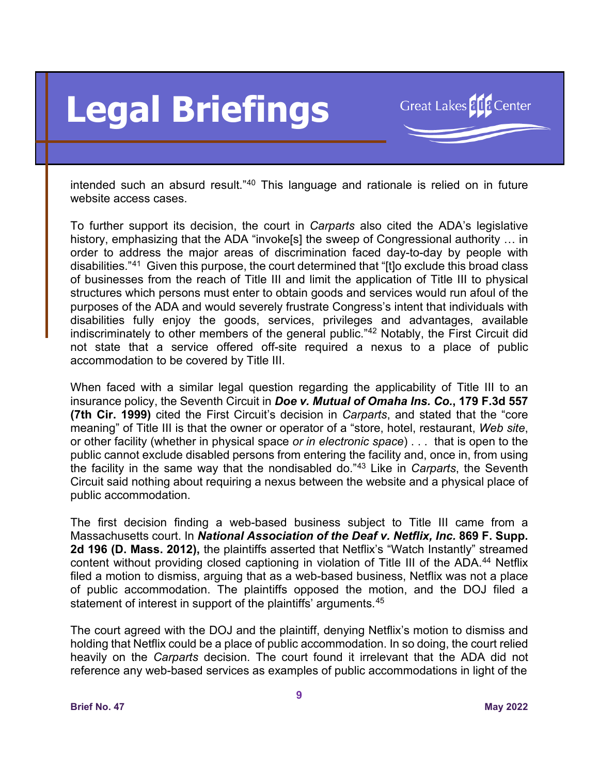

intended such an absurd result.["40](#page-25-19) This language and rationale is relied on in future website access cases.

To further support its decision, the court in *Carparts* also cited the ADA's legislative history, emphasizing that the ADA "invoke[s] the sweep of Congressional authority … in order to address the major areas of discrimination faced day-to-day by people with disabilities."[41](#page-25-20) Given this purpose, the court determined that "[t]o exclude this broad class of businesses from the reach of Title III and limit the application of Title III to physical structures which persons must enter to obtain goods and services would run afoul of the purposes of the ADA and would severely frustrate Congress's intent that individuals with disabilities fully enjoy the goods, services, privileges and advantages, available indiscriminately to other members of the general public."[42](#page-25-21) Notably, the First Circuit did not state that a service offered off-site required a nexus to a place of public accommodation to be covered by Title III.

When faced with a similar legal question regarding the applicability of Title III to an insurance policy, the Seventh Circuit in *Doe v. Mutual of Omaha Ins. Co.***, 179 F.3d 557 (7th Cir. 1999)** cited the First Circuit's decision in *Carparts*, and stated that the "core meaning" of Title III is that the owner or operator of a "store, hotel, restaurant, *Web site*, or other facility (whether in physical space *or in electronic space*) . . . that is open to the public cannot exclude disabled persons from entering the facility and, once in, from using the facility in the same way that the nondisabled do."[43](#page-25-22) Like in *Carparts*, the Seventh Circuit said nothing about requiring a nexus between the website and a physical place of public accommodation.

The first decision finding a web-based business subject to Title III came from a Massachusetts court. In *National Association of the Deaf v. Netflix, Inc.* **869 F. Supp. 2d 196 (D. Mass. 2012),** the plaintiffs asserted that Netflix's "Watch Instantly" streamed content without providing closed captioning in violation of Title III of the ADA.<sup>[44](#page-25-23)</sup> Netflix filed a motion to dismiss, arguing that as a web-based business, Netflix was not a place of public accommodation. The plaintiffs opposed the motion, and the DOJ filed a statement of interest in support of the plaintiffs' arguments.<sup>[45](#page-25-24)</sup>

The court agreed with the DOJ and the plaintiff, denying Netflix's motion to dismiss and holding that Netflix could be a place of public accommodation. In so doing, the court relied heavily on the *Carparts* decision. The court found it irrelevant that the ADA did not reference any web-based services as examples of public accommodations in light of the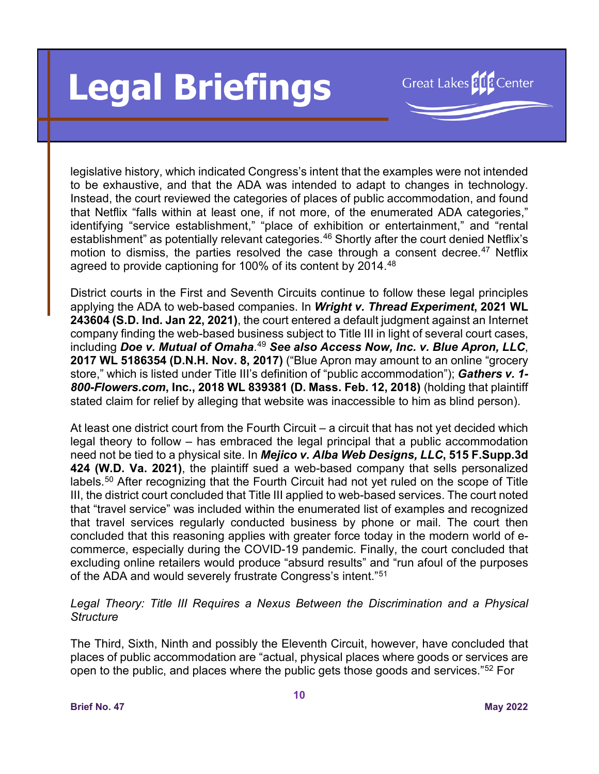legislative history, which indicated Congress's intent that the examples were not intended to be exhaustive, and that the ADA was intended to adapt to changes in technology. Instead, the court reviewed the categories of places of public accommodation, and found that Netflix "falls within at least one, if not more, of the enumerated ADA categories," identifying "service establishment," "place of exhibition or entertainment," and "rental establishment" as potentially relevant categories.<sup>[46](#page-25-25)</sup> Shortly after the court denied Netflix's motion to dismiss, the parties resolved the case through a consent decree.<sup>[47](#page-26-0)</sup> Netflix agreed to provide captioning for 100% of its content by 2014.[48](#page-26-1)

District courts in the First and Seventh Circuits continue to follow these legal principles applying the ADA to web-based companies. In *Wright v. Thread Experiment***, 2021 WL 243604 (S.D. Ind. Jan 22, 2021)**, the court entered a default judgment against an Internet company finding the web-based business subject to Title III in light of several court cases, including *Doe v. Mutual of Omaha*. [49](#page-26-2) *See also Access Now, Inc. v. Blue Apron, LLC*, **2017 WL 5186354 (D.N.H. Nov. 8, 2017)** ("Blue Apron may amount to an online "grocery store," which is listed under Title III's definition of "public accommodation"); *Gathers v. 1- 800-Flowers.com***, Inc., 2018 WL 839381 (D. Mass. Feb. 12, 2018)** (holding that plaintiff stated claim for relief by alleging that website was inaccessible to him as blind person).

At least one district court from the Fourth Circuit – a circuit that has not yet decided which legal theory to follow – has embraced the legal principal that a public accommodation need not be tied to a physical site. In *Mejico v. Alba Web Designs, LLC***, 515 F.Supp.3d 424 (W.D. Va. 2021)**, the plaintiff sued a web-based company that sells personalized labels.<sup>[50](#page-26-3)</sup> After recognizing that the Fourth Circuit had not yet ruled on the scope of Title III, the district court concluded that Title III applied to web-based services. The court noted that "travel service" was included within the enumerated list of examples and recognized that travel services regularly conducted business by phone or mail. The court then concluded that this reasoning applies with greater force today in the modern world of ecommerce, especially during the COVID-19 pandemic. Finally, the court concluded that excluding online retailers would produce "absurd results" and "run afoul of the purposes of the ADA and would severely frustrate Congress's intent."[51](#page-26-4)

#### Legal Theory: Title III Requires a Nexus Between the Discrimination and a Physical *Structure*

The Third, Sixth, Ninth and possibly the Eleventh Circuit, however, have concluded that places of public accommodation are "actual, physical places where goods or services are open to the public, and places where the public gets those goods and services."[52](#page-26-5) For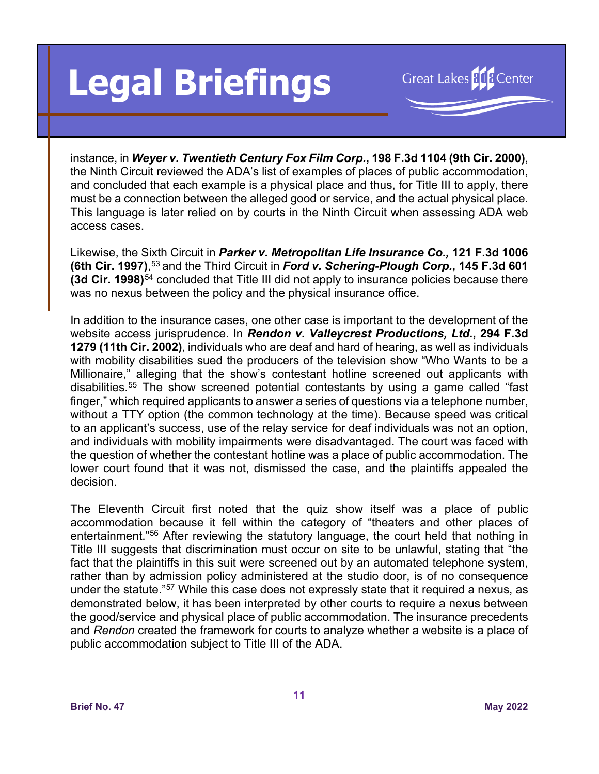instance, in *Weyer v. Twentieth Century Fox Film Corp.***, 198 F.3d 1104 (9th Cir. 2000)**, the Ninth Circuit reviewed the ADA's list of examples of places of public accommodation, and concluded that each example is a physical place and thus, for Title III to apply, there must be a connection between the alleged good or service, and the actual physical place. This language is later relied on by courts in the Ninth Circuit when assessing ADA web access cases.

Likewise, the Sixth Circuit in *Parker v. Metropolitan Life Insurance Co.,* **121 F.3d 1006 (6th Cir. 1997)**, [53](#page-26-6) and the Third Circuit in *Ford v. Schering-Plough Corp.***, 145 F.3d 601 (3d Cir. 1998)**[54](#page-26-7) concluded that Title III did not apply to insurance policies because there was no nexus between the policy and the physical insurance office.

In addition to the insurance cases, one other case is important to the development of the website access jurisprudence. In *Rendon v. Valleycrest Productions, Ltd.***, 294 F.3d 1279 (11th Cir. 2002)**, individuals who are deaf and hard of hearing, as well as individuals with mobility disabilities sued the producers of the television show "Who Wants to be a Millionaire," alleging that the show's contestant hotline screened out applicants with disabilities.[55](#page-26-8) The show screened potential contestants by using a game called "fast finger," which required applicants to answer a series of questions via a telephone number, without a TTY option (the common technology at the time). Because speed was critical to an applicant's success, use of the relay service for deaf individuals was not an option, and individuals with mobility impairments were disadvantaged. The court was faced with the question of whether the contestant hotline was a place of public accommodation. The lower court found that it was not, dismissed the case, and the plaintiffs appealed the decision.

The Eleventh Circuit first noted that the quiz show itself was a place of public accommodation because it fell within the category of "theaters and other places of entertainment."[56](#page-26-9) After reviewing the statutory language, the court held that nothing in Title III suggests that discrimination must occur on site to be unlawful, stating that "the fact that the plaintiffs in this suit were screened out by an automated telephone system, rather than by admission policy administered at the studio door, is of no consequence under the statute."[57](#page-26-10) While this case does not expressly state that it required a nexus, as demonstrated below, it has been interpreted by other courts to require a nexus between the good/service and physical place of public accommodation. The insurance precedents and *Rendon* created the framework for courts to analyze whether a website is a place of public accommodation subject to Title III of the ADA.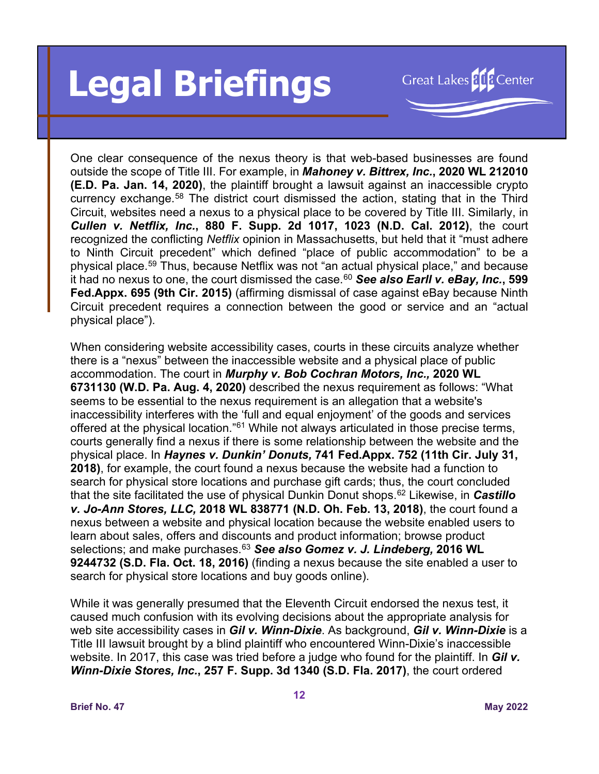One clear consequence of the nexus theory is that web-based businesses are found outside the scope of Title III. For example, in *Mahoney v. Bittrex, Inc.***, 2020 WL 212010 (E.D. Pa. Jan. 14, 2020)**, the plaintiff brought a lawsuit against an inaccessible crypto currency exchange.[58](#page-26-11) The district court dismissed the action, stating that in the Third Circuit, websites need a nexus to a physical place to be covered by Title III. Similarly, in *Cullen v. Netflix, Inc.***, 880 F. Supp. 2d 1017, 1023 (N.D. Cal. 2012)**, the court recognized the conflicting *Netflix* opinion in Massachusetts, but held that it "must adhere to Ninth Circuit precedent" which defined "place of public accommodation" to be a physical place[.59](#page-26-12) Thus, because Netflix was not "an actual physical place," and because it had no nexus to one, the court dismissed the case.[60](#page-26-13) *See also Earll v. eBay, Inc.***, 599 Fed.Appx. 695 (9th Cir. 2015)** (affirming dismissal of case against eBay because Ninth Circuit precedent requires a connection between the good or service and an "actual physical place").

When considering website accessibility cases, courts in these circuits analyze whether there is a "nexus" between the inaccessible website and a physical place of public accommodation. The court in *Murphy v. Bob Cochran Motors, Inc.,* **2020 WL 6731130 (W.D. Pa. Aug. 4, 2020)** described the nexus requirement as follows: "What seems to be essential to the nexus requirement is an allegation that a website's inaccessibility interferes with the 'full and equal enjoyment' of the goods and services offered at the physical location."[61](#page-26-14) While not always articulated in those precise terms, courts generally find a nexus if there is some relationship between the website and the physical place. In *Haynes v. Dunkin' Donuts,* **741 Fed.Appx. 752 (11th Cir. July 31, 2018)**, for example, the court found a nexus because the website had a function to search for physical store locations and purchase gift cards; thus, the court concluded that the site facilitated the use of physical Dunkin Donut shops.[62](#page-26-15) Likewise, in *Castillo v. Jo-Ann Stores, LLC,* **2018 WL 838771 (N.D. Oh. Feb. 13, 2018)**, the court found a nexus between a website and physical location because the website enabled users to learn about sales, offers and discounts and product information; browse product selections; and make purchases.[63](#page-26-16) *See also Gomez v. J. Lindeberg,* **2016 WL 9244732 (S.D. Fla. Oct. 18, 2016)** (finding a nexus because the site enabled a user to search for physical store locations and buy goods online).

While it was generally presumed that the Eleventh Circuit endorsed the nexus test, it caused much confusion with its evolving decisions about the appropriate analysis for web site accessibility cases in *Gil v. Winn-Dixie*. As background, *Gil v. Winn-Dixie* is a Title III lawsuit brought by a blind plaintiff who encountered Winn-Dixie's inaccessible website. In 2017, this case was tried before a judge who found for the plaintiff. In *Gil v. Winn-Dixie Stores, Inc.***, 257 F. Supp. 3d 1340 (S.D. Fla. 2017)**, the court ordered

Great Lakes Elle Center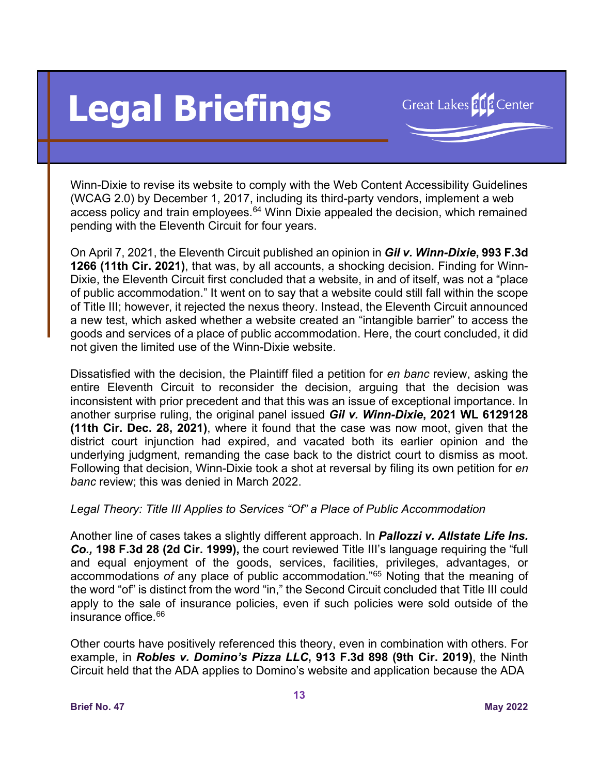Winn-Dixie to revise its website to comply with the Web Content Accessibility Guidelines (WCAG 2.0) by December 1, 2017, including its third-party vendors, implement a web access policy and train employees.<sup>[64](#page-26-17)</sup> Winn Dixie appealed the decision, which remained pending with the Eleventh Circuit for four years.

On April 7, 2021, the Eleventh Circuit published an opinion in *Gil v. Winn-Dixie***, 993 F.3d 1266 (11th Cir. 2021)**, that was, by all accounts, a shocking decision. Finding for Winn-Dixie, the Eleventh Circuit first concluded that a website, in and of itself, was not a "place of public accommodation." It went on to say that a website could still fall within the scope of Title III; however, it rejected the nexus theory. Instead, the Eleventh Circuit announced a new test, which asked whether a website created an "intangible barrier" to access the goods and services of a place of public accommodation. Here, the court concluded, it did not given the limited use of the Winn-Dixie website.

Dissatisfied with the decision, the Plaintiff filed a petition for *en banc* review, asking the entire Eleventh Circuit to reconsider the decision, arguing that the decision was inconsistent with prior precedent and that this was an issue of exceptional importance. In another surprise ruling, the original panel issued *Gil v. Winn-Dixie***, 2021 WL 6129128 (11th Cir. Dec. 28, 2021)**, where it found that the case was now moot, given that the district court injunction had expired, and vacated both its earlier opinion and the underlying judgment, remanding the case back to the district court to dismiss as moot. Following that decision, Winn-Dixie took a shot at reversal by filing its own petition for *en banc* review; this was denied in March 2022.

### *Legal Theory: Title III Applies to Services "Of" a Place of Public Accommodation*

Another line of cases takes a slightly different approach. In *Pallozzi v. Allstate Life Ins. Co.,* **198 F.3d 28 (2d Cir. 1999),** the court reviewed Title III's language requiring the "full and equal enjoyment of the goods, services, facilities, privileges, advantages, or accommodations *of* any place of public accommodation.["65](#page-26-18) Noting that the meaning of the word "of" is distinct from the word "in," the Second Circuit concluded that Title III could apply to the sale of insurance policies, even if such policies were sold outside of the insurance office.[66](#page-26-19)

Other courts have positively referenced this theory, even in combination with others. For example, in *Robles v. Domino's Pizza LLC***, 913 F.3d 898 (9th Cir. 2019)**, the Ninth Circuit held that the ADA applies to Domino's website and application because the ADA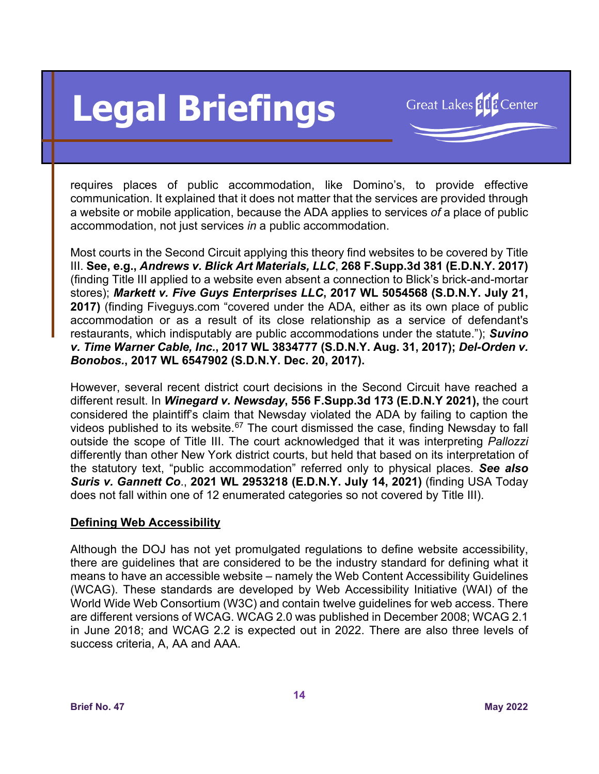Great Lakes **ELE** Center

requires places of public accommodation, like Domino's, to provide effective communication. It explained that it does not matter that the services are provided through a website or mobile application, because the ADA applies to services *of* a place of public accommodation, not just services *in* a public accommodation.

Most courts in the Second Circuit applying this theory find websites to be covered by Title III. **See, e.g.,** *Andrews v. Blick Art Materials, LLC*, **268 F.Supp.3d 381 (E.D.N.Y. 2017)** (finding Title III applied to a website even absent a connection to Blick's brick-and-mortar stores); *Markett v. Five Guys Enterprises LLC***, 2017 WL 5054568 (S.D.N.Y. July 21, 2017)** (finding Fiveguys.com "covered under the ADA, either as its own place of public accommodation or as a result of its close relationship as a service of defendant's restaurants, which indisputably are public accommodations under the statute."); *Suvino v. Time Warner Cable, Inc.***, 2017 WL 3834777 (S.D.N.Y. Aug. 31, 2017);** *Del-Orden v. Bonobos.***, 2017 WL 6547902 (S.D.N.Y. Dec. 20, 2017).** 

However, several recent district court decisions in the Second Circuit have reached a different result. In *Winegard v. Newsday***, 556 F.Supp.3d 173 (E.D.N.Y 2021),** the court considered the plaintiff's claim that Newsday violated the ADA by failing to caption the videos published to its website. $67$  The court dismissed the case, finding Newsday to fall outside the scope of Title III. The court acknowledged that it was interpreting *Pallozzi* differently than other New York district courts, but held that based on its interpretation of the statutory text, "public accommodation" referred only to physical places. *See also Suris v. Gannett Co*., **2021 WL 2953218 (E.D.N.Y. July 14, 2021)** (finding USA Today does not fall within one of 12 enumerated categories so not covered by Title III).

### **Defining Web Accessibility**

Although the DOJ has not yet promulgated regulations to define website accessibility, there are guidelines that are considered to be the industry standard for defining what it means to have an accessible website – namely the Web Content Accessibility Guidelines (WCAG). These standards are developed by Web Accessibility Initiative (WAI) of the World Wide Web Consortium (W3C) and contain twelve guidelines for web access. There are different versions of WCAG. WCAG 2.0 was published in December 2008; WCAG 2.1 in June 2018; and WCAG 2.2 is expected out in 2022. There are also three levels of success criteria, A, AA and AAA.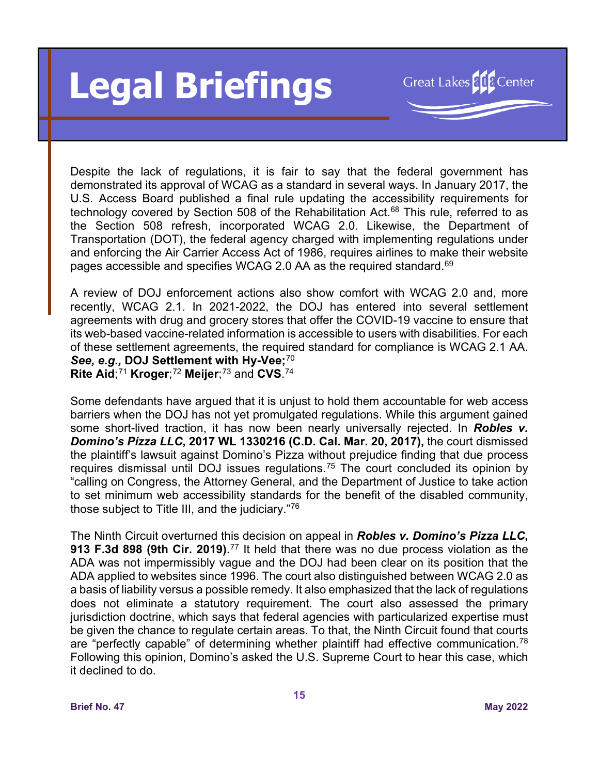Despite the lack of regulations, it is fair to say that the federal government has demonstrated its approval of WCAG as a standard in several ways. In January 2017, the U.S. Access Board published a final rule updating the accessibility requirements for technology covered by Section 508 of the Rehabilitation Act. [68](#page-26-21) This rule, referred to as the Section 508 refresh, incorporated WCAG 2.0. Likewise, the Department of Transportation (DOT), the federal agency charged with implementing regulations under and enforcing the Air Carrier Access Act of 1986, requires airlines to make their website pages accessible and specifies WCAG 2.0 AA as the required standard. $69$ 

A review of DOJ enforcement actions also show comfort with WCAG 2.0 and, more recently, WCAG 2.1. In 2021-2022, the DOJ has entered into several settlement agreements with drug and grocery stores that offer the COVID-19 vaccine to ensure that its web-based vaccine-related information is accessible to users with disabilities. For each of these settlement agreements, the required standard for compliance is WCAG 2.1 AA. *See, e.g.,* **DOJ Settlement with Hy-Vee;**[70](#page-26-23) **Rite Aid**; [71](#page-26-24) **Kroger**; [72](#page-26-25) **Meijer**; [73](#page-26-26) and **CVS**. [74](#page-26-27)

Some defendants have argued that it is unjust to hold them accountable for web access barriers when the DOJ has not yet promulgated regulations. While this argument gained some short-lived traction, it has now been nearly universally rejected. In *Robles v. Domino's Pizza LLC***, 2017 WL 1330216 (C.D. Cal. Mar. 20, 2017),** the court dismissed the plaintiff's lawsuit against Domino's Pizza without prejudice finding that due process requires dismissal until DOJ issues regulations.[75](#page-27-0) The court concluded its opinion by "calling on Congress, the Attorney General, and the Department of Justice to take action to set minimum web accessibility standards for the benefit of the disabled community, those subject to Title III, and the judiciary."[76](#page-27-1)

The Ninth Circuit overturned this decision on appeal in *Robles v. Domino's Pizza LLC***, 913 F.3d 898 (9th Cir. 2019)**.<sup>[77](#page-27-2)</sup> It held that there was no due process violation as the ADA was not impermissibly vague and the DOJ had been clear on its position that the ADA applied to websites since 1996. The court also distinguished between WCAG 2.0 as a basis of liability versus a possible remedy. It also emphasized that the lack of regulations does not eliminate a statutory requirement. The court also assessed the primary jurisdiction doctrine, which says that federal agencies with particularized expertise must be given the chance to regulate certain areas. To that, the Ninth Circuit found that courts are "perfectly capable" of determining whether plaintiff had effective communication.<sup>[78](#page-27-3)</sup> Following this opinion, Domino's asked the U.S. Supreme Court to hear this case, which it declined to do.

**Brief No. 47 May 2022**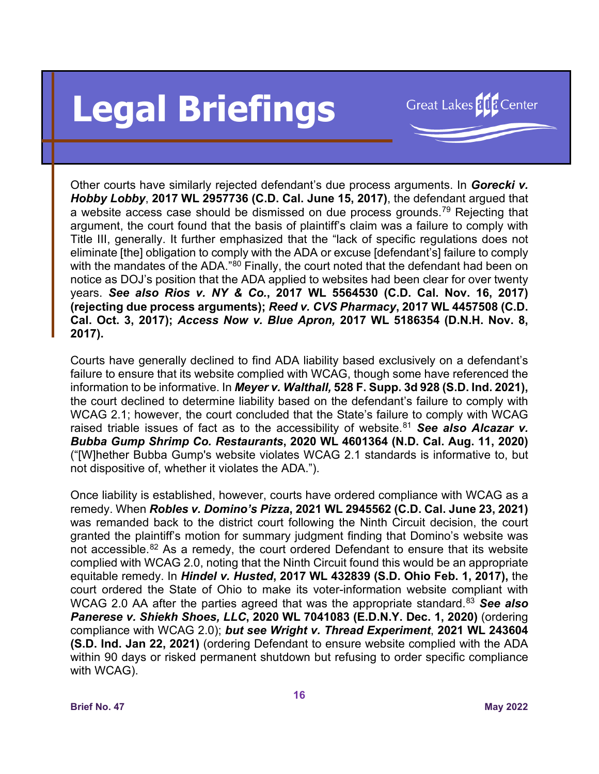Great Lakes **ELE** Center

Other courts have similarly rejected defendant's due process arguments. In *Gorecki v. Hobby Lobby*, **2017 WL 2957736 (C.D. Cal. June 15, 2017)**, the defendant argued that a website access case should be dismissed on due process grounds.<sup>[79](#page-27-4)</sup> Rejecting that argument, the court found that the basis of plaintiff's claim was a failure to comply with Title III, generally. It further emphasized that the "lack of specific regulations does not eliminate [the] obligation to comply with the ADA or excuse [defendant's] failure to comply with the mandates of the ADA."<sup>[80](#page-27-5)</sup> Finally, the court noted that the defendant had been on notice as DOJ's position that the ADA applied to websites had been clear for over twenty years. *See also Rios v. NY & Co.***, 2017 WL 5564530 (C.D. Cal. Nov. 16, 2017) (rejecting due process arguments);** *Reed v. CVS Pharmacy***, 2017 WL 4457508 (C.D. Cal. Oct. 3, 2017);** *Access Now v. Blue Apron,* **2017 WL 5186354 (D.N.H. Nov. 8, 2017).**

Courts have generally declined to find ADA liability based exclusively on a defendant's failure to ensure that its website complied with WCAG, though some have referenced the information to be informative. In *Meyer v. Walthall,* **528 F. Supp. 3d 928 (S.D. Ind. 2021),**  the court declined to determine liability based on the defendant's failure to comply with WCAG 2.1; however, the court concluded that the State's failure to comply with WCAG raised triable issues of fact as to the accessibility of website.<sup>[81](#page-27-6)</sup> See also Alcazar v. *Bubba Gump Shrimp Co. Restaurants***, 2020 WL 4601364 (N.D. Cal. Aug. 11, 2020)**  ("[W]hether Bubba Gump's website violates WCAG 2.1 standards is informative to, but not dispositive of, whether it violates the ADA.").

Once liability is established, however, courts have ordered compliance with WCAG as a remedy. When *Robles v. Domino's Pizza***, 2021 WL 2945562 (C.D. Cal. June 23, 2021)** was remanded back to the district court following the Ninth Circuit decision, the court granted the plaintiff's motion for summary judgment finding that Domino's website was not accessible.<sup>[82](#page-27-7)</sup> As a remedy, the court ordered Defendant to ensure that its website complied with WCAG 2.0, noting that the Ninth Circuit found this would be an appropriate equitable remedy. In *Hindel v. Husted***, 2017 WL 432839 (S.D. Ohio Feb. 1, 2017),** the court ordered the State of Ohio to make its voter-information website compliant with WCAG 2.0 AA after the parties agreed that was the appropriate standard. [83](#page-27-8) *See also Panerese v. Shiekh Shoes, LLC***, 2020 WL 7041083 (E.D.N.Y. Dec. 1, 2020)** (ordering compliance with WCAG 2.0); *but see Wright v. Thread Experiment*, **2021 WL 243604 (S.D. Ind. Jan 22, 2021)** (ordering Defendant to ensure website complied with the ADA within 90 days or risked permanent shutdown but refusing to order specific compliance with WCAG).

**Brief No. 47 May 2022**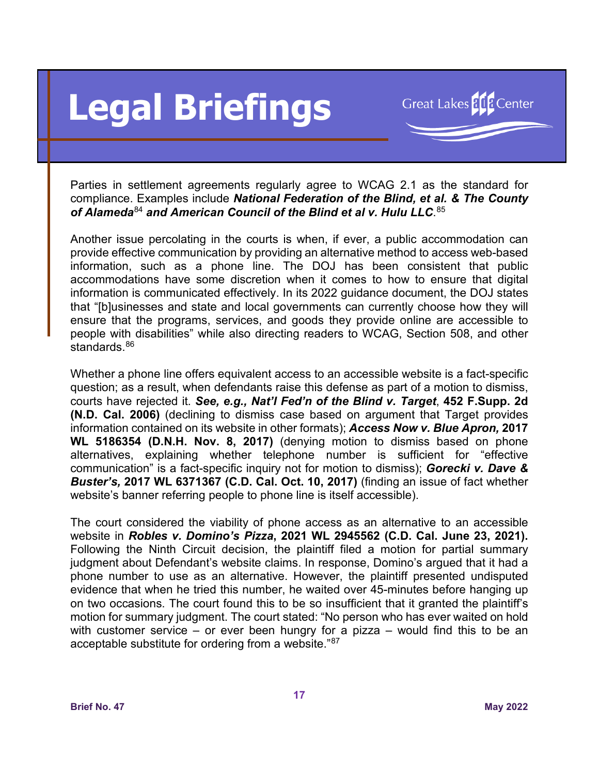

Parties in settlement agreements regularly agree to WCAG 2.1 as the standard for compliance. Examples include *National Federation of the Blind, et al. & The County of Alameda*[84](#page-27-9) *and American Council of the Blind et al v. Hulu LLC*. [85](#page-27-10)

Another issue percolating in the courts is when, if ever, a public accommodation can provide effective communication by providing an alternative method to access web-based information, such as a phone line. The DOJ has been consistent that public accommodations have some discretion when it comes to how to ensure that digital information is communicated effectively. In its 2022 guidance document, the DOJ states that "[b]usinesses and state and local governments can currently choose how they will ensure that the programs, services, and goods they provide online are accessible to people with disabilities" while also directing readers to WCAG, Section 508, and other standards.<sup>[86](#page-27-11)</sup>

Whether a phone line offers equivalent access to an accessible website is a fact-specific question; as a result, when defendants raise this defense as part of a motion to dismiss, courts have rejected it. *See, e.g., Nat'l Fed'n of the Blind v. Target*, **452 F.Supp. 2d (N.D. Cal. 2006)** (declining to dismiss case based on argument that Target provides information contained on its website in other formats); *Access Now v. Blue Apron,* **2017 WL 5186354 (D.N.H. Nov. 8, 2017)** (denying motion to dismiss based on phone alternatives, explaining whether telephone number is sufficient for "effective communication" is a fact-specific inquiry not for motion to dismiss); *Gorecki v. Dave & Buster's,* **2017 WL 6371367 (C.D. Cal. Oct. 10, 2017)** (finding an issue of fact whether website's banner referring people to phone line is itself accessible).

The court considered the viability of phone access as an alternative to an accessible website in *Robles v. Domino's Pizza***, 2021 WL 2945562 (C.D. Cal. June 23, 2021).** Following the Ninth Circuit decision, the plaintiff filed a motion for partial summary judgment about Defendant's website claims. In response, Domino's argued that it had a phone number to use as an alternative. However, the plaintiff presented undisputed evidence that when he tried this number, he waited over 45-minutes before hanging up on two occasions. The court found this to be so insufficient that it granted the plaintiff's motion for summary judgment. The court stated: "No person who has ever waited on hold with customer service  $-$  or ever been hungry for a pizza  $-$  would find this to be an acceptable substitute for ordering from a website."[87](#page-27-12)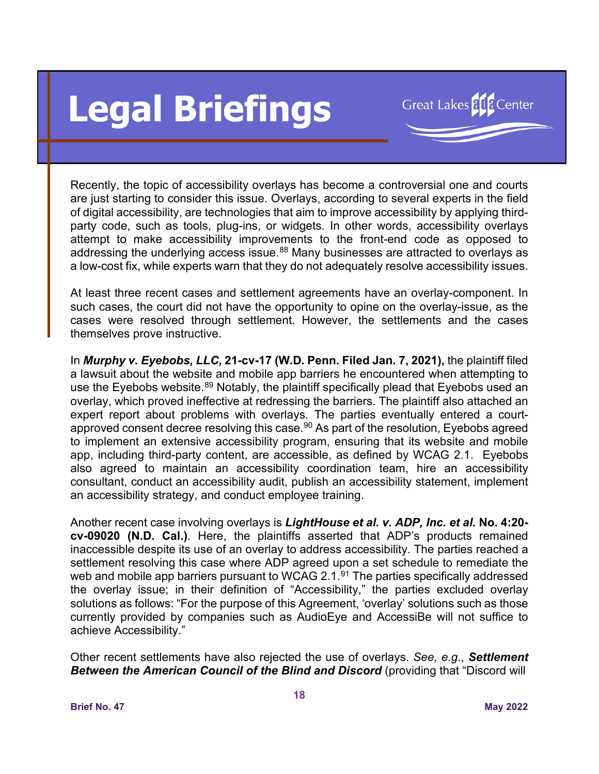Recently, the topic of accessibility overlays has become a controversial one and courts are just starting to consider this issue. Overlays, according to several experts in the field of digital accessibility, are technologies that aim to improve accessibility by applying thirdparty code, such as tools, plug-ins, or widgets. In other words, accessibility overlays attempt to make accessibility improvements to the front-end code as opposed to addressing the underlying access issue.<sup>[88](#page-27-13)</sup> Many businesses are attracted to overlays as a low-cost fix, while experts warn that they do not adequately resolve accessibility issues.

At least three recent cases and settlement agreements have an overlay-component. In such cases, the court did not have the opportunity to opine on the overlay-issue, as the cases were resolved through settlement. However, the settlements and the cases themselves prove instructive.

In *Murphy v. Eyebobs, LLC***, 21-cv-17 (W.D. Penn. Filed Jan. 7, 2021),** the plaintiff filed a lawsuit about the website and mobile app barriers he encountered when attempting to use the Eyebobs website.<sup>[89](#page-27-14)</sup> Notably, the plaintiff specifically plead that Eyebobs used an overlay, which proved ineffective at redressing the barriers. The plaintiff also attached an expert report about problems with overlays. The parties eventually entered a courtapproved consent decree resolving this case.[90](#page-27-15) As part of the resolution, Eyebobs agreed to implement an extensive accessibility program, ensuring that its website and mobile app, including third-party content, are accessible, as defined by WCAG 2.1. Eyebobs also agreed to maintain an accessibility coordination team, hire an accessibility consultant, conduct an accessibility audit, publish an accessibility statement, implement an accessibility strategy, and conduct employee training.

Another recent case involving overlays is *LightHouse et al. v. ADP, Inc. et al.* **No. 4:20 cv-09020 (N.D. Cal.)**. Here, the plaintiffs asserted that ADP's products remained inaccessible despite its use of an overlay to address accessibility. The parties reached a settlement resolving this case where ADP agreed upon a set schedule to remediate the web and mobile app barriers pursuant to WCAG 2.1. $91$  The parties specifically addressed the overlay issue; in their definition of "Accessibility," the parties excluded overlay solutions as follows: "For the purpose of this Agreement, 'overlay' solutions such as those currently provided by companies such as AudioEye and AccessiBe will not suffice to achieve Accessibility."

Other recent settlements have also rejected the use of overlays. *See, e.g*., *Settlement Between the American Council of the Blind and Discord* (providing that "Discord will

**Brief No. 47 May 2022**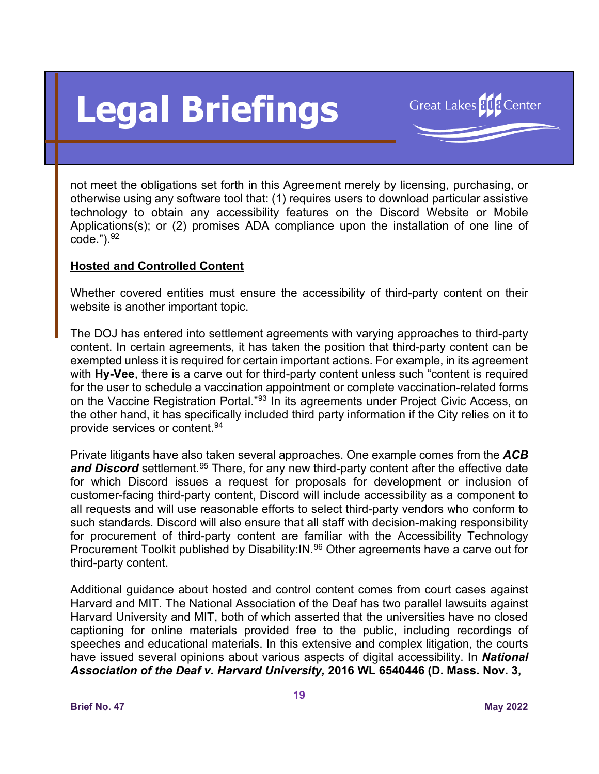not meet the obligations set forth in this Agreement merely by licensing, purchasing, or otherwise using any software tool that: (1) requires users to download particular assistive technology to obtain any accessibility features on the Discord Website or Mobile Applications(s); or (2) promises ADA compliance upon the installation of one line of code."). $92$ 

#### **Hosted and Controlled Content**

Whether covered entities must ensure the accessibility of third-party content on their website is another important topic.

The DOJ has entered into settlement agreements with varying approaches to third-party content. In certain agreements, it has taken the position that third-party content can be exempted unless it is required for certain important actions. For example, in its agreement with **Hy-Vee**, there is a carve out for third-party content unless such "content is required for the user to schedule a vaccination appointment or complete vaccination-related forms on the Vaccine Registration Portal."[93](#page-27-18) In its agreements under Project Civic Access, on the other hand, it has specifically included third party information if the City relies on it to provide services or content.[94](#page-27-19)

Private litigants have also taken several approaches. One example comes from the *ACB*  and Discord settlement.<sup>[95](#page-27-20)</sup> There, for any new third-party content after the effective date for which Discord issues a request for proposals for development or inclusion of customer-facing third-party content, Discord will include accessibility as a component to all requests and will use reasonable efforts to select third-party vendors who conform to such standards. Discord will also ensure that all staff with decision-making responsibility for procurement of third-party content are familiar with the Accessibility Technology Procurement Toolkit published by Disability:IN.<sup>[96](#page-27-21)</sup> Other agreements have a carve out for third-party content.

Additional guidance about hosted and control content comes from court cases against Harvard and MIT. The National Association of the Deaf has two parallel lawsuits against Harvard University and MIT, both of which asserted that the universities have no closed captioning for online materials provided free to the public, including recordings of speeches and educational materials. In this extensive and complex litigation, the courts have issued several opinions about various aspects of digital accessibility. In *National Association of the Deaf v. Harvard University,* **2016 WL 6540446 (D. Mass. Nov. 3,**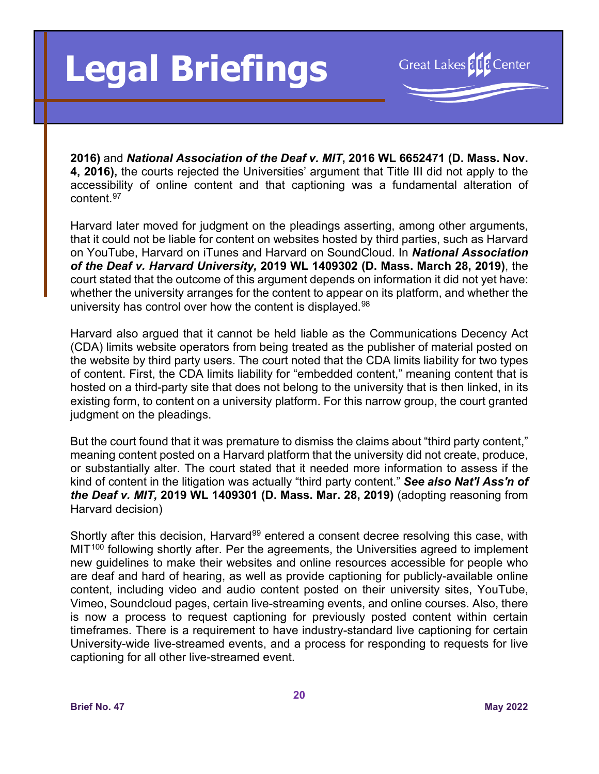**2016)** and *National Association of the Deaf v. MIT***, 2016 WL 6652471 (D. Mass. Nov. 4, 2016),** the courts rejected the Universities' argument that Title III did not apply to the accessibility of online content and that captioning was a fundamental alteration of content.[97](#page-27-22)

Harvard later moved for judgment on the pleadings asserting, among other arguments, that it could not be liable for content on websites hosted by third parties, such as Harvard on YouTube, Harvard on iTunes and Harvard on SoundCloud. In *National Association of the Deaf v. Harvard University,* **2019 WL 1409302 (D. Mass. March 28, 2019)**, the court stated that the outcome of this argument depends on information it did not yet have: whether the university arranges for the content to appear on its platform, and whether the university has control over how the content is displayed. $98$ 

Harvard also argued that it cannot be held liable as the Communications Decency Act (CDA) limits website operators from being treated as the publisher of material posted on the website by third party users. The court noted that the CDA limits liability for two types of content. First, the CDA limits liability for "embedded content," meaning content that is hosted on a third-party site that does not belong to the university that is then linked, in its existing form, to content on a university platform. For this narrow group, the court granted judgment on the pleadings.

But the court found that it was premature to dismiss the claims about "third party content," meaning content posted on a Harvard platform that the university did not create, produce, or substantially alter. The court stated that it needed more information to assess if the kind of content in the litigation was actually "third party content." *See also Nat'l Ass'n of the Deaf v. MIT,* **2019 WL 1409301 (D. Mass. Mar. 28, 2019)** (adopting reasoning from Harvard decision)

Shortly after this decision, Harvard<sup>[99](#page-27-24)</sup> entered a consent decree resolving this case, with MIT<sup>[100](#page-28-0)</sup> following shortly after. Per the agreements, the Universities agreed to implement new guidelines to make their websites and online resources accessible for people who are deaf and hard of hearing, as well as provide captioning for publicly-available online content, including video and audio content posted on their university sites, YouTube, Vimeo, Soundcloud pages, certain live-streaming events, and online courses. Also, there is now a process to request captioning for previously posted content within certain timeframes. There is a requirement to have industry-standard live captioning for certain University-wide live-streamed events, and a process for responding to requests for live captioning for all other live-streamed event.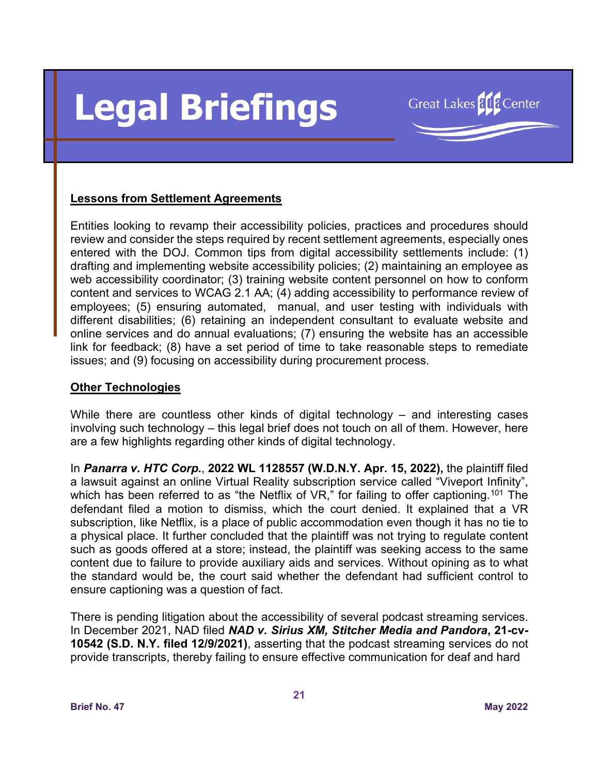### **Lessons from Settlement Agreements**

Entities looking to revamp their accessibility policies, practices and procedures should review and consider the steps required by recent settlement agreements, especially ones entered with the DOJ. Common tips from digital accessibility settlements include: (1) drafting and implementing website accessibility policies; (2) maintaining an employee as web accessibility coordinator; (3) training website content personnel on how to conform content and services to WCAG 2.1 AA; (4) adding accessibility to performance review of employees; (5) ensuring automated, manual, and user testing with individuals with different disabilities; (6) retaining an independent consultant to evaluate website and online services and do annual evaluations; (7) ensuring the website has an accessible link for feedback; (8) have a set period of time to take reasonable steps to remediate issues; and (9) focusing on accessibility during procurement process.

#### **Other Technologies**

While there are countless other kinds of digital technology – and interesting cases involving such technology – this legal brief does not touch on all of them. However, here are a few highlights regarding other kinds of digital technology.

In *Panarra v. HTC Corp.*, **2022 WL 1128557 (W.D.N.Y. Apr. 15, 2022),** the plaintiff filed a lawsuit against an online Virtual Reality subscription service called "Viveport Infinity", which has been referred to as "the Netflix of VR," for failing to offer captioning.<sup>101</sup> The defendant filed a motion to dismiss, which the court denied. It explained that a VR subscription, like Netflix, is a place of public accommodation even though it has no tie to a physical place. It further concluded that the plaintiff was not trying to regulate content such as goods offered at a store; instead, the plaintiff was seeking access to the same content due to failure to provide auxiliary aids and services. Without opining as to what the standard would be, the court said whether the defendant had sufficient control to ensure captioning was a question of fact.

There is pending litigation about the accessibility of several podcast streaming services. In December 2021, NAD filed *NAD v. Sirius XM, Stitcher Media and Pandora***, 21-cv-10542 (S.D. N.Y. filed 12/9/2021)**, asserting that the podcast streaming services do not provide transcripts, thereby failing to ensure effective communication for deaf and hard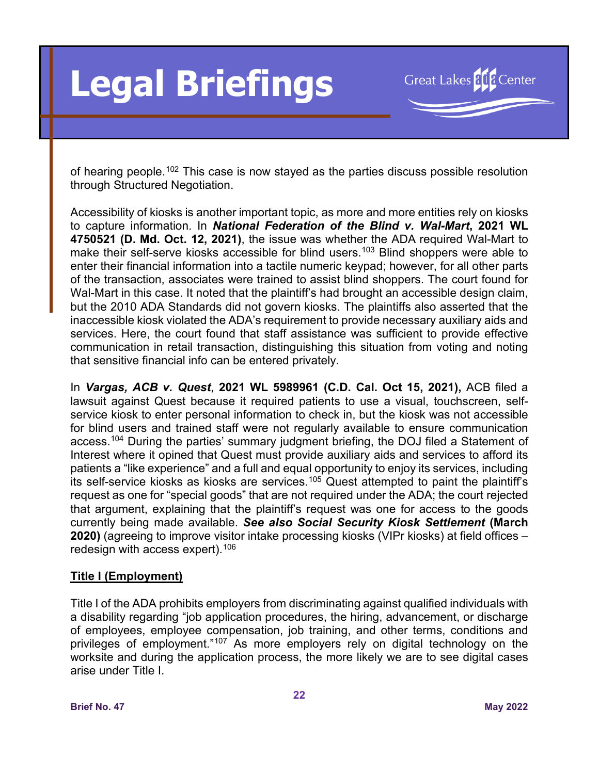of hearing people.<sup>[102](#page-28-2)</sup> This case is now stayed as the parties discuss possible resolution through Structured Negotiation.

Accessibility of kiosks is another important topic, as more and more entities rely on kiosks to capture information. In *National Federation of the Blind v. Wal-Mart***, 2021 WL 4750521 (D. Md. Oct. 12, 2021)**, the issue was whether the ADA required Wal-Mart to make their self-serve kiosks accessible for blind users. [103](#page-28-3) Blind shoppers were able to enter their financial information into a tactile numeric keypad; however, for all other parts of the transaction, associates were trained to assist blind shoppers. The court found for Wal-Mart in this case. It noted that the plaintiff's had brought an accessible design claim, but the 2010 ADA Standards did not govern kiosks. The plaintiffs also asserted that the inaccessible kiosk violated the ADA's requirement to provide necessary auxiliary aids and services. Here, the court found that staff assistance was sufficient to provide effective communication in retail transaction, distinguishing this situation from voting and noting that sensitive financial info can be entered privately.

In *Vargas, ACB v. Quest*, **2021 WL 5989961 (C.D. Cal. Oct 15, 2021),** ACB filed a lawsuit against Quest because it required patients to use a visual, touchscreen, selfservice kiosk to enter personal information to check in, but the kiosk was not accessible for blind users and trained staff were not regularly available to ensure communication access.<sup>[104](#page-28-4)</sup> During the parties' summary judgment briefing, the DOJ filed a Statement of Interest where it opined that Quest must provide auxiliary aids and services to afford its patients a "like experience" and a full and equal opportunity to enjoy its services, including its self-service kiosks as kiosks are services.[105](#page-28-5) Quest attempted to paint the plaintiff's request as one for "special goods" that are not required under the ADA; the court rejected that argument, explaining that the plaintiff's request was one for access to the goods currently being made available. *See also Social Security Kiosk Settlement* **(March 2020)** (agreeing to improve visitor intake processing kiosks (VIPr kiosks) at field offices – redesign with access expert).[106](#page-28-6)

### **Title I (Employment)**

Title I of the ADA prohibits employers from discriminating against qualified individuals with a disability regarding "job application procedures, the hiring, advancement, or discharge of employees, employee compensation, job training, and other terms, conditions and privileges of employment."[107](#page-28-7) As more employers rely on digital technology on the worksite and during the application process, the more likely we are to see digital cases arise under Title I.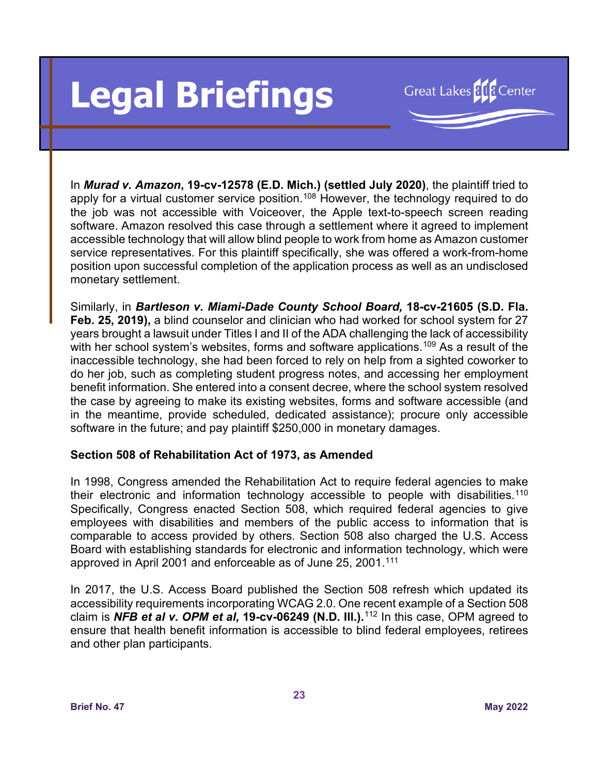In *Murad v. Amazon***, 19-cv-12578 (E.D. Mich.) (settled July 2020)**, the plaintiff tried to apply for a virtual customer service position.<sup>[108](#page-28-8)</sup> However, the technology required to do the job was not accessible with Voiceover, the Apple text-to-speech screen reading software. Amazon resolved this case through a settlement where it agreed to implement accessible technology that will allow blind people to work from home as Amazon customer service representatives. For this plaintiff specifically, she was offered a work-from-home position upon successful completion of the application process as well as an undisclosed monetary settlement.

Similarly, in *Bartleson v. Miami-Dade County School Board,* **18-cv-21605 (S.D. Fla. Feb. 25, 2019),** a blind counselor and clinician who had worked for school system for 27 years brought a lawsuit under Titles I and II of the ADA challenging the lack of accessibility with her school system's websites, forms and software applications.<sup>109</sup> As a result of the inaccessible technology, she had been forced to rely on help from a sighted coworker to do her job, such as completing student progress notes, and accessing her employment benefit information. She entered into a consent decree, where the school system resolved the case by agreeing to make its existing websites, forms and software accessible (and in the meantime, provide scheduled, dedicated assistance); procure only accessible software in the future; and pay plaintiff \$250,000 in monetary damages.

### **Section 508 of Rehabilitation Act of 1973, as Amended**

In 1998, Congress amended the Rehabilitation Act to require federal agencies to make their electronic and information technology accessible to people with disabilities.<sup>[110](#page-28-10)</sup> Specifically, Congress enacted Section 508, which required federal agencies to give employees with disabilities and members of the public access to information that is comparable to access provided by others. Section 508 also charged the U.S. Access Board with establishing standards for electronic and information technology, which were approved in April 2001 and enforceable as of June 25, 2001.<sup>[111](#page-28-11)</sup>

In 2017, the U.S. Access Board published the Section 508 refresh which updated its accessibility requirements incorporating WCAG 2.0. One recent example of a Section 508 claim is *NFB et al v. OPM et al,* **19-cv-06249 (N.D. Ill.).** [112](#page-28-12) In this case, OPM agreed to ensure that health benefit information is accessible to blind federal employees, retirees and other plan participants.

Great Lakes **808** Center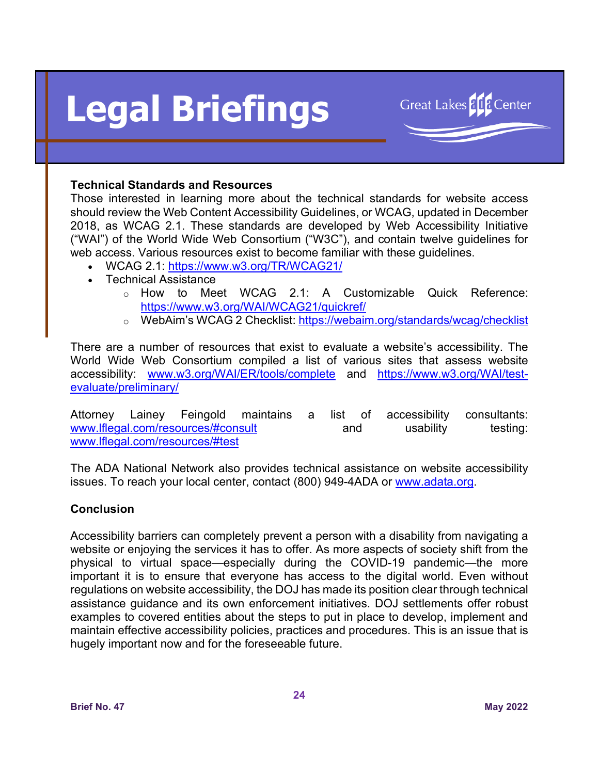### **Technical Standards and Resources**

Those interested in learning more about the technical standards for website access should review the Web Content Accessibility Guidelines, or WCAG, updated in December 2018, as WCAG 2.1. These standards are developed by Web Accessibility Initiative ("WAI") of the World Wide Web Consortium ("W3C"), and contain twelve guidelines for web access. Various resources exist to become familiar with these guidelines.

- WCAG 2.1:<https://www.w3.org/TR/WCAG21/>
- Technical Assistance
	- o How to Meet WCAG 2.1: A Customizable Quick Reference: <https://www.w3.org/WAI/WCAG21/quickref/>
	- o WebAim's WCAG 2 Checklist:<https://webaim.org/standards/wcag/checklist>

There are a number of resources that exist to evaluate a website's accessibility. The World Wide Web Consortium compiled a list of various sites that assess website accessibility: [www.w3.org/WAI/ER/tools/complete](http://www.w3.org/WAI/ER/tools/complete) and [https://www.w3.org/WAI/test](https://www.w3.org/WAI/test-evaluate/preliminary/)[evaluate/preliminary/](https://www.w3.org/WAI/test-evaluate/preliminary/)

Attorney Lainey Feingold maintains a list of accessibility consultants: [www.lflegal.com/resources/#consult](http://www.lflegal.com/resources/) and usability testing: [www.lflegal.com/resources/#test](http://www.lflegal.com/resources/)

The ADA National Network also provides technical assistance on website accessibility issues. To reach your local center, contact (800) 949-4ADA or [www.adata.org.](http://www.adata.org/)

### **Conclusion**

Accessibility barriers can completely prevent a person with a disability from navigating a website or enjoying the services it has to offer. As more aspects of society shift from the physical to virtual space—especially during the COVID-19 pandemic—the more important it is to ensure that everyone has access to the digital world. Even without regulations on website accessibility, the DOJ has made its position clear through technical assistance guidance and its own enforcement initiatives. DOJ settlements offer robust examples to covered entities about the steps to put in place to develop, implement and maintain effective accessibility policies, practices and procedures. This is an issue that is hugely important now and for the foreseeable future.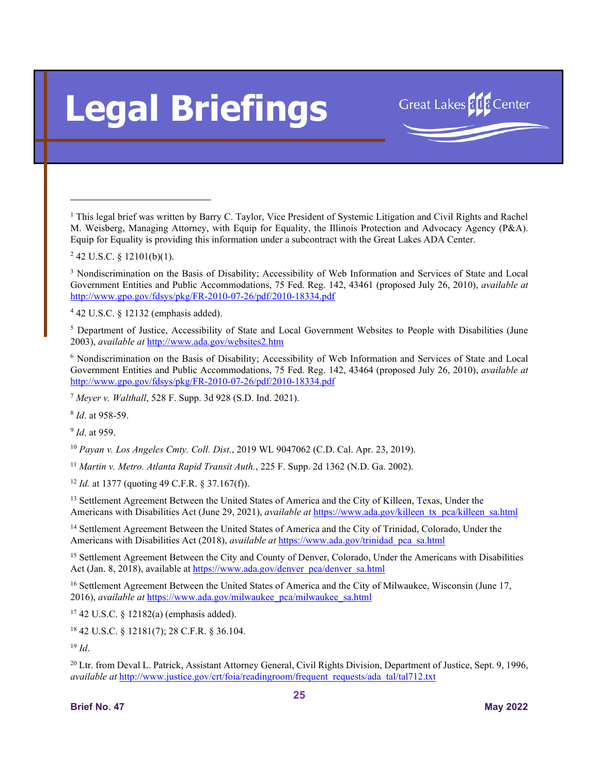<span id="page-24-0"></span> $1$  This legal brief was written by Barry C. Taylor, Vice President of Systemic Litigation and Civil Rights and Rachel M. Weisberg, Managing Attorney, with Equip for Equality, the Illinois Protection and Advocacy Agency (P&A). Equip for Equality is providing this information under a subcontract with the Great Lakes ADA Center.

<span id="page-24-1"></span> $242$  U.S.C. § 12101(b)(1).

<span id="page-24-2"></span><sup>3</sup> Nondiscrimination on the Basis of Disability; Accessibility of Web Information and Services of State and Local Government Entities and Public Accommodations, 75 Fed. Reg. 142, 43461 (proposed July 26, 2010), *available at* [http://www.gpo.gov/fdsys/pkg/FR-2010-07-26/pdf/2010-18334.pdf](http://www.gpo.gov/fdsys/pkg/FR-2010-07-26/pdf/2010-18334.pdf#page=1)

<span id="page-24-3"></span><sup>4</sup> 42 U.S.C. § 12132 (emphasis added).

<span id="page-24-4"></span><sup>5</sup> Department of Justice, Accessibility of State and Local Government Websites to People with Disabilities (June 2003), *available at* <http://www.ada.gov/websites2.htm>

<span id="page-24-5"></span><sup>6</sup> Nondiscrimination on the Basis of Disability; Accessibility of Web Information and Services of State and Local Government Entities and Public Accommodations, 75 Fed. Reg. 142, 43464 (proposed July 26, 2010), *available at* [http://www.gpo.gov/fdsys/pkg/FR-2010-07-26/pdf/2010-18334.pdf](http://www.gpo.gov/fdsys/pkg/FR-2010-07-26/pdf/2010-18334.pdf#page=1)

<span id="page-24-6"></span><sup>7</sup> *Meyer v. Walthall*, 528 F. Supp. 3d 928 (S.D. Ind. 2021).

<span id="page-24-7"></span><sup>8</sup> *Id*. at 958-59.

<span id="page-24-8"></span><sup>9</sup> *Id*. at 959.

<span id="page-24-9"></span><sup>10</sup> *Payan v. Los Angeles Cmty. Coll. Dist.*, 2019 WL 9047062 (C.D. Cal. Apr. 23, 2019).

<span id="page-24-10"></span><sup>11</sup> *Martin v. Metro. Atlanta Rapid Transit Auth.*, 225 F. Supp. 2d 1362 (N.D. Ga. 2002).

<span id="page-24-11"></span><sup>12</sup> *Id.* at 1377 (quoting 49 C.F.R. § 37.167(f)).

<span id="page-24-12"></span><sup>13</sup> Settlement Agreement Between the United States of America and the City of Killeen, Texas, Under the Americans with Disabilities Act (June 29, 2021), *available at* [https://www.ada.gov/killeen\\_tx\\_pca/killeen\\_sa.html](https://www.ada.gov/killeen_tx_pca/killeen_sa.html)

<span id="page-24-13"></span><sup>14</sup> Settlement Agreement Between the United States of America and the City of Trinidad, Colorado, Under the Americans with Disabilities Act (2018), *available at* [https://www.ada.gov/trinidad\\_pca\\_sa.html](https://www.ada.gov/trinidad_pca_sa.html)

<span id="page-24-14"></span><sup>15</sup> Settlement Agreement Between the City and County of Denver, Colorado, Under the Americans with Disabilities Act (Jan. 8, 2018), available at [https://www.ada.gov/denver\\_pca/denver\\_sa.html](https://www.ada.gov/denver_pca/denver_sa.html)

<span id="page-24-15"></span><sup>16</sup> Settlement Agreement Between the United States of America and the City of Milwaukee, Wisconsin (June 17, 2016), *available at* [https://www.ada.gov/milwaukee\\_pca/milwaukee\\_sa.html](https://www.ada.gov/milwaukee_pca/milwaukee_sa.html)

<span id="page-24-16"></span><sup>17</sup> 42 U.S.C. § 12182(a) (emphasis added).

<span id="page-24-17"></span><sup>18</sup> 42 U.S.C. § 12181(7); 28 C.F.R. § 36.104.

<span id="page-24-18"></span><sup>19</sup> *Id*.

<span id="page-24-19"></span> $^{20}$  Ltr. from Deval L. Patrick, Assistant Attorney General, Civil Rights Division, Department of Justice, Sept. 9, 1996, *available at* [http://www.justice.gov/crt/foia/readingroom/frequent\\_requests/ada\\_tal/tal712.txt](http://www.justice.gov/crt/foia/readingroom/frequent_requests/ada_tal/tal712.txt)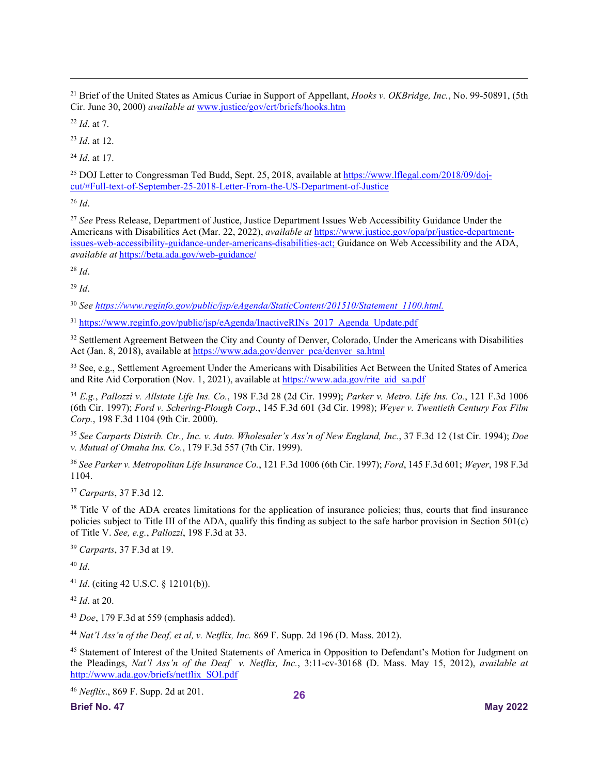<span id="page-25-0"></span><sup>21</sup> Brief of the United States as Amicus Curiae in Support of Appellant, *Hooks v. OKBridge, Inc.*, No. 99-50891, (5th Cir. June 30, 2000) *available at* [www.justice/gov/crt/briefs/hooks.htm](http://www.justice/gov/crt/briefs/hooks.htm)

<span id="page-25-1"></span><sup>22</sup> *Id*. at 7.

<span id="page-25-2"></span><sup>23</sup> *Id*. at 12.

<span id="page-25-3"></span><sup>24</sup> *Id*. at 17.

<span id="page-25-4"></span><sup>25</sup> DOJ Letter to Congressman Ted Budd, Sept. 25, 2018, available at [https://www.lflegal.com/2018/09/doj](https://www.lflegal.com/2018/09/doj-cut/#Full-text-of-September-25-2018-Letter-From-the-US-Department-of-Justice)[cut/#Full-text-of-September-25-2018-Letter-From-the-US-Department-of-Justice](https://www.lflegal.com/2018/09/doj-cut/#Full-text-of-September-25-2018-Letter-From-the-US-Department-of-Justice)

<span id="page-25-5"></span><sup>26</sup> *Id*.

<span id="page-25-6"></span><sup>27</sup> *See* Press Release, Department of Justice, Justice Department Issues Web Accessibility Guidance Under the Americans with Disabilities Act (Mar. 22, 2022), *available at* [https://www.justice.gov/opa/pr/justice-department](https://www.justice.gov/opa/pr/justice-department-issues-web-accessibility-guidance-under-americans-disabilities-act)[issues-web-accessibility-guidance-under-americans-disabilities-act;](https://www.justice.gov/opa/pr/justice-department-issues-web-accessibility-guidance-under-americans-disabilities-act) Guidance on Web Accessibility and the ADA, *available at* <https://beta.ada.gov/web-guidance/>

<span id="page-25-7"></span><sup>28</sup> *Id*.

<span id="page-25-8"></span><sup>29</sup> *Id*.

<span id="page-25-9"></span><sup>30</sup> *See [https://www.reginfo.gov/public/jsp/eAgenda/StaticContent/201510/Statement\\_1100.html.](https://www.reginfo.gov/public/jsp/eAgenda/StaticContent/201510/Statement_1100.html)*

<span id="page-25-10"></span><sup>31</sup> [https://www.reginfo.gov/public/jsp/eAgenda/InactiveRINs\\_2017\\_Agenda\\_Update.pdf](https://www.reginfo.gov/public/jsp/eAgenda/InactiveRINs_2017_Agenda_Update.pdf)

<span id="page-25-11"></span><sup>32</sup> Settlement Agreement Between the City and County of Denver, Colorado, Under the Americans with Disabilities Act (Jan. 8, 2018), available at [https://www.ada.gov/denver\\_pca/denver\\_sa.html](https://www.ada.gov/denver_pca/denver_sa.html)

<span id="page-25-12"></span><sup>33</sup> See, e.g., Settlement Agreement Under the Americans with Disabilities Act Between the United States of America and Rite Aid Corporation (Nov. 1, 2021), available a[t https://www.ada.gov/rite\\_aid\\_sa.pdf](https://www.ada.gov/rite_aid_sa.pdf)

<span id="page-25-13"></span><sup>34</sup> *E.g.*, *Pallozzi v. Allstate Life Ins. Co.*, 198 F.3d 28 (2d Cir. 1999); *Parker v. Metro. Life Ins. Co.*, 121 F.3d 1006 (6th Cir. 1997); *Ford v. Schering-Plough Corp*., 145 F.3d 601 (3d Cir. 1998); *Weyer v. Twentieth Century Fox Film Corp.*, 198 F.3d 1104 (9th Cir. 2000).

<span id="page-25-14"></span><sup>35</sup> *See Carparts Distrib. Ctr., Inc. v. Auto. Wholesaler's Ass'n of New England, Inc.*, 37 F.3d 12 (1st Cir. 1994); *Doe v. Mutual of Omaha Ins. Co.*, 179 F.3d 557 (7th Cir. 1999).

<span id="page-25-15"></span><sup>36</sup> *See Parker v. Metropolitan Life Insurance Co.*, 121 F.3d 1006 (6th Cir. 1997); *Ford*, 145 F.3d 601; *Weyer*, 198 F.3d 1104.

<span id="page-25-16"></span><sup>37</sup> *Carparts*, 37 F.3d 12.

<span id="page-25-17"></span><sup>38</sup> Title V of the ADA creates limitations for the application of insurance policies; thus, courts that find insurance policies subject to Title III of the ADA, qualify this finding as subject to the safe harbor provision in Section 501(c) of Title V. *See, e.g.*, *Pallozzi*, 198 F.3d at 33.

<span id="page-25-18"></span><sup>39</sup> *Carparts*, 37 F.3d at 19.

<span id="page-25-19"></span><sup>40</sup> *Id*.

<span id="page-25-20"></span><sup>41</sup> *Id*. (citing 42 U.S.C. § 12101(b)).

<span id="page-25-21"></span><sup>42</sup> *Id*. at 20.

<span id="page-25-22"></span><sup>43</sup> *Doe*, 179 F.3d at 559 (emphasis added).

<span id="page-25-23"></span><sup>44</sup> *Nat'l Ass'n of the Deaf, et al, v. Netflix, Inc.* 869 F. Supp. 2d 196 (D. Mass. 2012).

<span id="page-25-24"></span><sup>45</sup> Statement of Interest of the United Statements of America in Opposition to Defendant's Motion for Judgment on the Pleadings, *Nat'l Ass'n of the Deaf v. Netflix, Inc.*, 3:11-cv-30168 (D. Mass. May 15, 2012), *available at*  [http://www.ada.gov/briefs/netflix\\_SOI.pdf](http://www.ada.gov/briefs/netflix_SOI.pdf)

<span id="page-25-25"></span><sup>46</sup> *Netflix*., 869 F. Supp. 2d at 201.

**Brief No. 47 May 2022**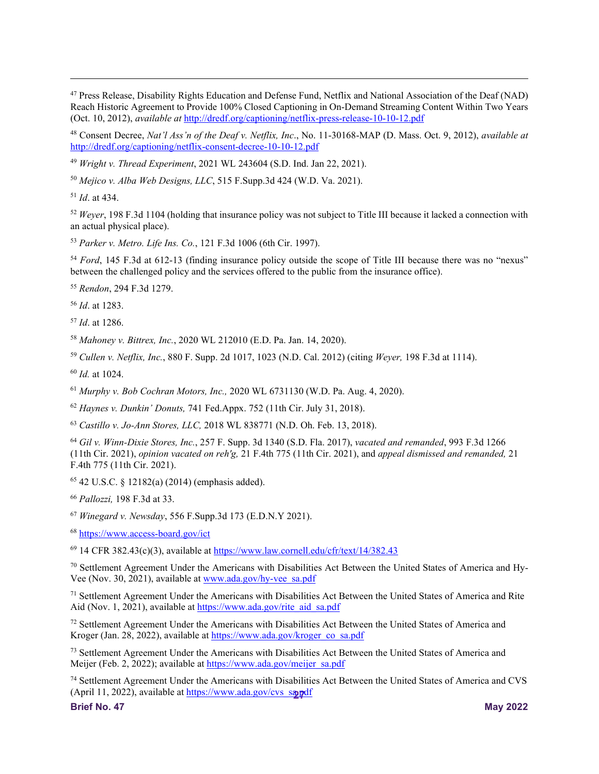<span id="page-26-0"></span><sup>47</sup> Press Release, Disability Rights Education and Defense Fund, Netflix and National Association of the Deaf (NAD) Reach Historic Agreement to Provide 100% Closed Captioning in On-Demand Streaming Content Within Two Years (Oct. 10, 2012), *available at* http://dredf.org/captioning/netflix-press-release-10-10-12.pdf

<span id="page-26-1"></span><sup>48</sup> Consent Decree, *Nat'l Ass'n of the Deaf v. Netflix, Inc*., No. 11-30168-MAP (D. Mass. Oct. 9, 2012), *available at* http://dredf.org/captioning/netflix-consent-decree-10-10-12.pdf

<span id="page-26-2"></span><sup>49</sup> *Wright v. Thread Experiment*, 2021 WL 243604 (S.D. Ind. Jan 22, 2021).

<span id="page-26-3"></span><sup>50</sup> *Mejico v. Alba Web Designs, LLC*, 515 F.Supp.3d 424 (W.D. Va. 2021).

<span id="page-26-4"></span><sup>51</sup> *Id*. at 434.

<span id="page-26-5"></span><sup>52</sup> *Weyer*, 198 F.3d 1104 (holding that insurance policy was not subject to Title III because it lacked a connection with an actual physical place).

<span id="page-26-6"></span><sup>53</sup> *Parker v. Metro. Life Ins. Co.*, 121 F.3d 1006 (6th Cir. 1997).

<span id="page-26-7"></span><sup>54</sup> *Ford*, 145 F.3d at 612-13 (finding insurance policy outside the scope of Title III because there was no "nexus" between the challenged policy and the services offered to the public from the insurance office).

<span id="page-26-8"></span><sup>55</sup> *Rendon*, 294 F.3d 1279.

<span id="page-26-9"></span><sup>56</sup> *Id*. at 1283.

<span id="page-26-10"></span><sup>57</sup> *Id*. at 1286.

<span id="page-26-11"></span><sup>58</sup> *Mahoney v. Bittrex, Inc.*, 2020 WL 212010 (E.D. Pa. Jan. 14, 2020).

<span id="page-26-12"></span><sup>59</sup> *Cullen v. Netflix, Inc.*, 880 F. Supp. 2d 1017, 1023 (N.D. Cal. 2012) (citing *Weyer,* 198 F.3d at 1114).

<span id="page-26-13"></span><sup>60</sup> *Id.* at 1024.

<span id="page-26-14"></span><sup>61</sup> *Murphy v. Bob Cochran Motors, Inc.,* 2020 WL 6731130 (W.D. Pa. Aug. 4, 2020).

<span id="page-26-15"></span><sup>62</sup> *Haynes v. Dunkin' Donuts,* 741 Fed.Appx. 752 (11th Cir. July 31, 2018).

<span id="page-26-16"></span><sup>63</sup> *Castillo v. Jo-Ann Stores, LLC,* 2018 WL 838771 (N.D. Oh. Feb. 13, 2018).

<span id="page-26-17"></span><sup>64</sup> *Gil v. Winn-Dixie Stores, Inc.*, 257 F. Supp. 3d 1340 (S.D. Fla. 2017), *vacated and remanded*, 993 F.3d 1266 (11th Cir. 2021), *opinion vacated on reh'g,* 21 F.4th 775 (11th Cir. 2021), and *appeal dismissed and remanded,* 21 F.4th 775 (11th Cir. 2021).

<span id="page-26-18"></span><sup>65</sup> 42 U.S.C. § 12182(a) (2014) (emphasis added).

<span id="page-26-19"></span><sup>66</sup> *Pallozzi,* 198 F.3d at 33.

<span id="page-26-20"></span><sup>67</sup> *Winegard v. Newsday*, 556 F.Supp.3d 173 (E.D.N.Y 2021).

<span id="page-26-21"></span><sup>68</sup> https://www.access-board.gov/ict

<span id="page-26-22"></span> $69$  14 CFR 382.43(c)(3), available at https://www.law.cornell.edu/cfr/text/14/382.43

<span id="page-26-23"></span> $70$  Settlement Agreement Under the Americans with Disabilities Act Between the United States of America and Hy-Vee (Nov. 30, 2021), available at www.ada.gov/hy-vee\_sa.pdf

<span id="page-26-24"></span><sup>71</sup> Settlement Agreement Under the Americans with Disabilities Act Between the United States of America and Rite Aid (Nov. 1, 2021), available at https://www.ada.gov/rite\_aid\_sa.pdf

<span id="page-26-25"></span>72 Settlement Agreement Under the Americans with Disabilities Act Between the United States of America and Kroger (Jan. 28, 2022), available at https://www.ada.gov/kroger\_co\_sa.pdf

<span id="page-26-26"></span><sup>73</sup> Settlement Agreement Under the Americans with Disabilities Act Between the United States of America and Meijer (Feb. 2, 2022); available at https://www.ada.gov/meijer\_sa.pdf

<span id="page-26-27"></span>(April 11, 2022), available at <u>https://www.ada.gov/cvs\_s**2.p**df</u> <sup>74</sup> Settlement Agreement Under the Americans with Disabilities Act Between the United States of America and CVS

**Brief No. 47 May 2022**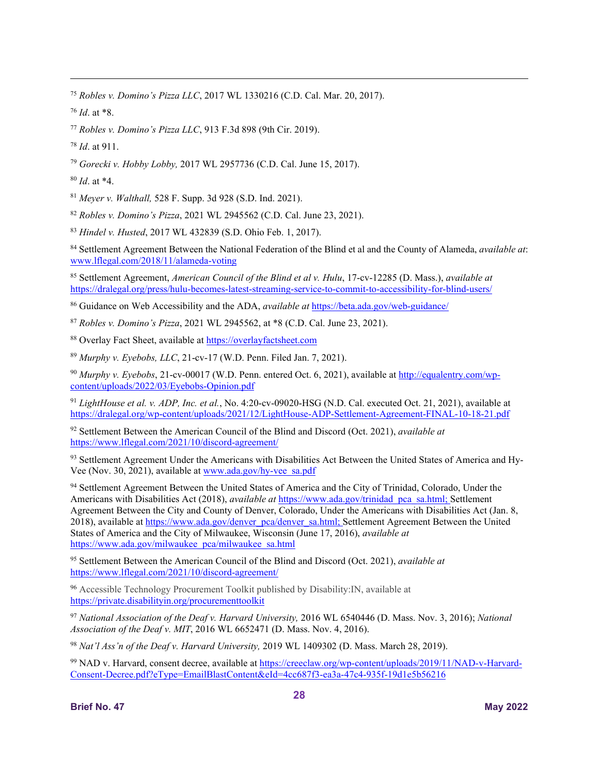<span id="page-27-0"></span><sup>75</sup> *Robles v. Domino's Pizza LLC*, 2017 WL 1330216 (C.D. Cal. Mar. 20, 2017).

<span id="page-27-1"></span><sup>76</sup> *Id*. at \*8.

<span id="page-27-2"></span><sup>77</sup> *Robles v. Domino's Pizza LLC*, 913 F.3d 898 (9th Cir. 2019).

<span id="page-27-3"></span><sup>78</sup> *Id*. at 911.

<span id="page-27-4"></span><sup>79</sup> *Gorecki v. Hobby Lobby,* 2017 WL 2957736 (C.D. Cal. June 15, 2017).

<span id="page-27-6"></span><sup>81</sup> *Meyer v. Walthall,* 528 F. Supp. 3d 928 (S.D. Ind. 2021).

<span id="page-27-7"></span><sup>82</sup> *Robles v. Domino's Pizza*, 2021 WL 2945562 (C.D. Cal. June 23, 2021).

<span id="page-27-8"></span><sup>83</sup> *Hindel v. Husted*, 2017 WL 432839 (S.D. Ohio Feb. 1, 2017).

<span id="page-27-9"></span><sup>84</sup> Settlement Agreement Between the National Federation of the Blind et al and the County of Alameda, *available at*: www.lflegal.com/2018/11/alameda-voting

<span id="page-27-10"></span><sup>85</sup> Settlement Agreement, *American Council of the Blind et al v. Hulu*, 17-cv-12285 (D. Mass.), *available at* https://dralegal.org/press/hulu-becomes-latest-streaming-service-to-commit-to-accessibility-for-blind-users/

<span id="page-27-11"></span><sup>86</sup> Guidance on Web Accessibility and the ADA, *available at* https://beta.ada.gov/web-guidance/

<span id="page-27-12"></span><sup>87</sup> *Robles v. Domino's Pizza*, 2021 WL 2945562, at \*8 (C.D. Cal. June 23, 2021).

<span id="page-27-13"></span><sup>88</sup> Overlay Fact Sheet, available at https://overlayfactsheet.com

<span id="page-27-14"></span><sup>89</sup> *Murphy v. Eyebobs, LLC*, 21-cv-17 (W.D. Penn. Filed Jan. 7, 2021).

<span id="page-27-15"></span><sup>90</sup> *Murphy v. Eyebobs*, 21-cv-00017 (W.D. Penn. entered Oct. 6, 2021), available at http://equalentry.com/wpcontent/uploads/2022/03/Eyebobs-Opinion.pdf

<span id="page-27-16"></span><sup>91</sup> *LightHouse et al. v. ADP, Inc. et al.*, No. 4:20-cv-09020-HSG (N.D. Cal. executed Oct. 21, 2021), available at https://dralegal.org/wp-content/uploads/2021/12/LightHouse-ADP-Settlement-Agreement-FINAL-10-18-21.pdf

<span id="page-27-17"></span><sup>92</sup> Settlement Between the American Council of the Blind and Discord (Oct. 2021), *available at*  https://www.lflegal.com/2021/10/discord-agreement/

<span id="page-27-18"></span>93 Settlement Agreement Under the Americans with Disabilities Act Between the United States of America and Hy-Vee (Nov. 30, 2021), available at www.ada.gov/hy-vee\_sa.pdf

<span id="page-27-19"></span>94 Settlement Agreement Between the United States of America and the City of Trinidad, Colorado, Under the Americans with Disabilities Act (2018), *available at* https://www.ada.gov/trinidad\_pca\_sa.html; Settlement Agreement Between the City and County of Denver, Colorado, Under the Americans with Disabilities Act (Jan. 8, 2018), available at https://www.ada.gov/denver\_pca/denver\_sa.html; Settlement Agreement Between the United States of America and the City of Milwaukee, Wisconsin (June 17, 2016), *available at*  https://www.ada.gov/milwaukee\_pca/milwaukee\_sa.html

<span id="page-27-20"></span><sup>95</sup> Settlement Between the American Council of the Blind and Discord (Oct. 2021), *available at*  https://www.lflegal.com/2021/10/discord-agreement/

<span id="page-27-21"></span><sup>96</sup> Accessible Technology Procurement Toolkit published by Disability:IN, available at https://private.disabilityin.org/procurementtoolkit

<span id="page-27-22"></span><sup>97</sup> *National Association of the Deaf v. Harvard University,* 2016 WL 6540446 (D. Mass. Nov. 3, 2016); *National Association of the Deaf v. MIT*, 2016 WL 6652471 (D. Mass. Nov. 4, 2016).

<span id="page-27-23"></span><sup>98</sup> *Nat'l Ass'n of the Deaf v. Harvard University,* 2019 WL 1409302 (D. Mass. March 28, 2019).

<span id="page-27-24"></span><sup>99</sup> NAD v. Harvard, consent decree, available at https://creeclaw.org/wp-content/uploads/2019/11/NAD-v-Harvard-Consent-Decree.pdf?eType=EmailBlastContent&eId=4cc687f3-ea3a-47c4-935f-19d1e5b56216

<span id="page-27-5"></span><sup>80</sup> *Id*. at \*4.